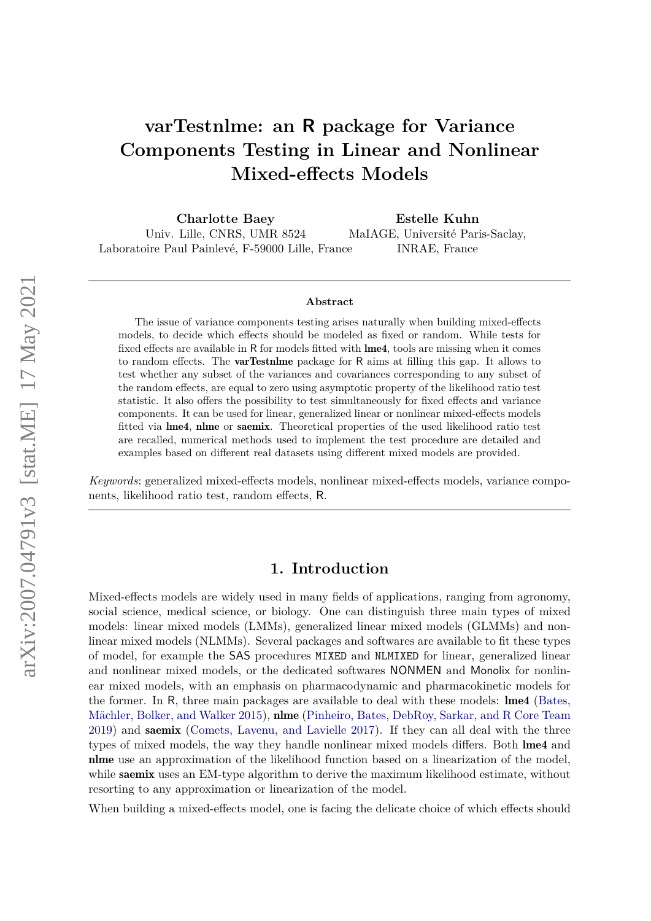# **varTestnlme: an R package for Variance Components Testing in Linear and Nonlinear Mixed-effects Models**

**Charlotte Baey** Univ. Lille, CNRS, UMR 8524 Laboratoire Paul Painlevé, F-59000 Lille, France **Estelle Kuhn** MaIAGE, Université Paris-Saclay, INRAE, France

#### **Abstract**

The issue of variance components testing arises naturally when building mixed-effects models, to decide which effects should be modeled as fixed or random. While tests for fixed effects are available in R for models fitted with lme4, tools are missing when it comes to random effects. The varTestnlme package for R aims at filling this gap. It allows to test whether any subset of the variances and covariances corresponding to any subset of the random effects, are equal to zero using asymptotic property of the likelihood ratio test statistic. It also offers the possibility to test simultaneously for fixed effects and variance components. It can be used for linear, generalized linear or nonlinear mixed-effects models fitted via lme4, nlme or saemix. Theoretical properties of the used likelihood ratio test are recalled, numerical methods used to implement the test procedure are detailed and examples based on different real datasets using different mixed models are provided.

*Keywords*: generalized mixed-effects models, nonlinear mixed-effects models, variance components, likelihood ratio test, random effects, R.

# **1. Introduction**

Mixed-effects models are widely used in many fields of applications, ranging from agronomy, social science, medical science, or biology. One can distinguish three main types of mixed models: linear mixed models (LMMs), generalized linear mixed models (GLMMs) and nonlinear mixed models (NLMMs). Several packages and softwares are available to fit these types of model, for example the SAS procedures MIXED and NLMIXED for linear, generalized linear and nonlinear mixed models, or the dedicated softwares NONMEN and Monolix for nonlinear mixed models, with an emphasis on pharmacodynamic and pharmacokinetic models for the former. In R, three main packages are available to deal with these models: lme4 [\(Bates,](#page-25-0) [Mächler, Bolker, and Walker](#page-25-0) [2015\)](#page-25-0), **nlme** [\(Pinheiro, Bates, DebRoy, Sarkar, and R Core Team](#page-26-0) [2019\)](#page-26-0) and saemix [\(Comets, Lavenu, and Lavielle](#page-25-1) [2017\)](#page-25-1). If they can all deal with the three types of mixed models, the way they handle nonlinear mixed models differs. Both lme4 and nlme use an approximation of the likelihood function based on a linearization of the model, while saemix uses an EM-type algorithm to derive the maximum likelihood estimate, without resorting to any approximation or linearization of the model.

When building a mixed-effects model, one is facing the delicate choice of which effects should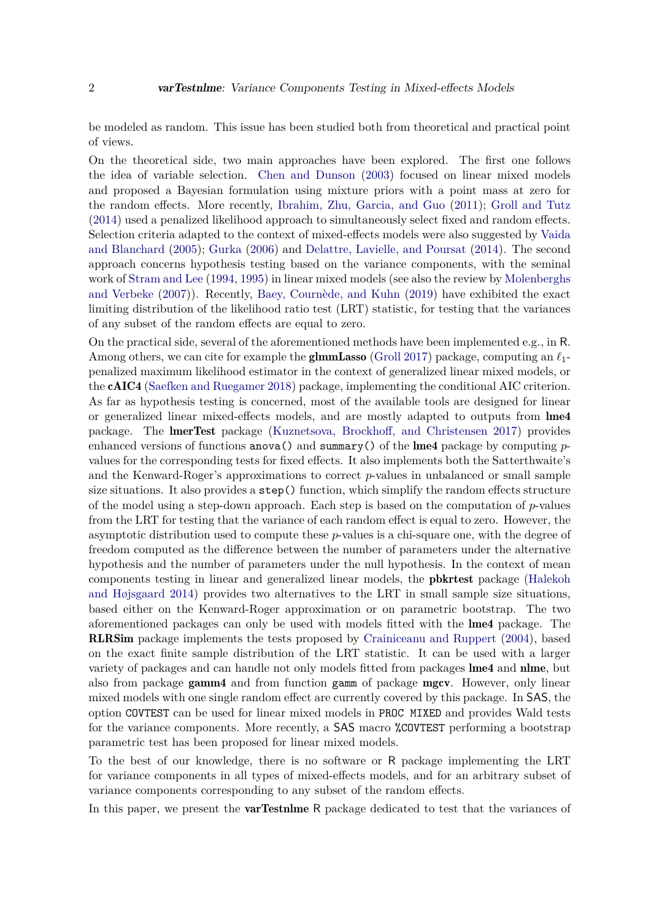be modeled as random. This issue has been studied both from theoretical and practical point of views.

On the theoretical side, two main approaches have been explored. The first one follows the idea of variable selection. [Chen and Dunson](#page-25-2) [\(2003\)](#page-25-2) focused on linear mixed models and proposed a Bayesian formulation using mixture priors with a point mass at zero for the random effects. More recently, [Ibrahim, Zhu, Garcia, and Guo](#page-26-1) [\(2011\)](#page-26-1); [Groll and Tutz](#page-26-2) [\(2014\)](#page-26-2) used a penalized likelihood approach to simultaneously select fixed and random effects. Selection criteria adapted to the context of mixed-effects models were also suggested by [Vaida](#page-27-0) [and Blanchard](#page-27-0) [\(2005\)](#page-27-0); [Gurka](#page-26-3) [\(2006\)](#page-26-3) and [Delattre, Lavielle, and Poursat](#page-25-3) [\(2014\)](#page-25-3). The second approach concerns hypothesis testing based on the variance components, with the seminal work of [Stram and Lee](#page-27-1) [\(1994,](#page-27-1) [1995\)](#page-27-2) in linear mixed models (see also the review by [Molenberghs](#page-26-4) [and Verbeke](#page-26-4) [\(2007\)](#page-26-4)). Recently, [Baey, Cournède, and Kuhn](#page-25-4) [\(2019\)](#page-25-4) have exhibited the exact limiting distribution of the likelihood ratio test (LRT) statistic, for testing that the variances of any subset of the random effects are equal to zero.

On the practical side, several of the aforementioned methods have been implemented e.g., in R. Among others, we can cite for example the **glmmLasso** [\(Groll](#page-26-5) [2017\)](#page-26-5) package, computing an  $\ell_1$ penalized maximum likelihood estimator in the context of generalized linear mixed models, or the cAIC4 [\(Saefken and Ruegamer](#page-26-6) [2018\)](#page-26-6) package, implementing the conditional AIC criterion. As far as hypothesis testing is concerned, most of the available tools are designed for linear or generalized linear mixed-effects models, and are mostly adapted to outputs from lme4 package. The lmerTest package [\(Kuznetsova, Brockhoff, and Christensen](#page-26-7) [2017\)](#page-26-7) provides enhanced versions of functions anova() and summary() of the lme4 package by computing *p*values for the corresponding tests for fixed effects. It also implements both the Satterthwaite's and the Kenward-Roger's approximations to correct *p*-values in unbalanced or small sample size situations. It also provides a step() function, which simplify the random effects structure of the model using a step-down approach. Each step is based on the computation of *p*-values from the LRT for testing that the variance of each random effect is equal to zero. However, the asymptotic distribution used to compute these *p*-values is a chi-square one, with the degree of freedom computed as the difference between the number of parameters under the alternative hypothesis and the number of parameters under the null hypothesis. In the context of mean components testing in linear and generalized linear models, the pbkrtest package [\(Halekoh](#page-26-8) [and Højsgaard](#page-26-8) [2014\)](#page-26-8) provides two alternatives to the LRT in small sample size situations, based either on the Kenward-Roger approximation or on parametric bootstrap. The two aforementioned packages can only be used with models fitted with the lme4 package. The RLRSim package implements the tests proposed by [Crainiceanu and Ruppert](#page-25-5) [\(2004\)](#page-25-5), based on the exact finite sample distribution of the LRT statistic. It can be used with a larger variety of packages and can handle not only models fitted from packages lme4 and nlme, but also from package gamm4 and from function gamm of package mgcv. However, only linear mixed models with one single random effect are currently covered by this package. In SAS, the option COVTEST can be used for linear mixed models in PROC MIXED and provides Wald tests for the variance components. More recently, a SAS macro %COVTEST performing a bootstrap parametric test has been proposed for linear mixed models.

To the best of our knowledge, there is no software or R package implementing the LRT for variance components in all types of mixed-effects models, and for an arbitrary subset of variance components corresponding to any subset of the random effects.

In this paper, we present the **varTestnime** R package dedicated to test that the variances of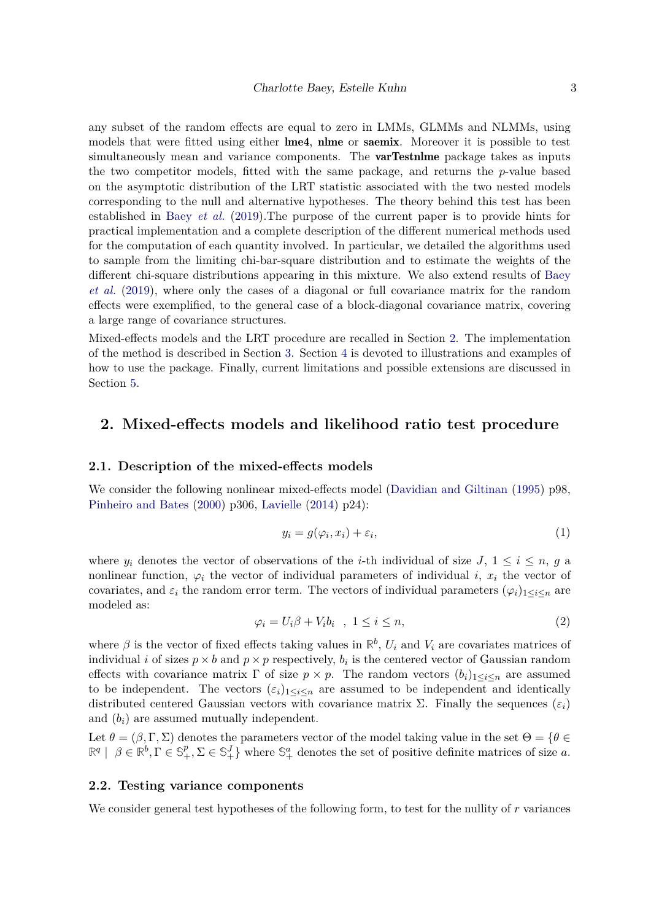any subset of the random effects are equal to zero in LMMs, GLMMs and NLMMs, using models that were fitted using either lme4, nlme or saemix. Moreover it is possible to test simultaneously mean and variance components. The **varTestnime** package takes as inputs the two competitor models, fitted with the same package, and returns the *p*-value based on the asymptotic distribution of the LRT statistic associated with the two nested models corresponding to the null and alternative hypotheses. The theory behind this test has been established in Baey *[et al.](#page-25-4)* [\(2019\)](#page-25-4).The purpose of the current paper is to provide hints for practical implementation and a complete description of the different numerical methods used for the computation of each quantity involved. In particular, we detailed the algorithms used to sample from the limiting chi-bar-square distribution and to estimate the weights of the different chi-square distributions appearing in this mixture. We also extend results of [Baey](#page-25-4) *[et al.](#page-25-4)* [\(2019\)](#page-25-4), where only the cases of a diagonal or full covariance matrix for the random effects were exemplified, to the general case of a block-diagonal covariance matrix, covering

Mixed-effects models and the LRT procedure are recalled in Section [2.](#page-2-0) The implementation of the method is described in Section [3.](#page-3-0) Section [4](#page-9-0) is devoted to illustrations and examples of how to use the package. Finally, current limitations and possible extensions are discussed in Section [5.](#page-25-6)

# <span id="page-2-0"></span>**2. Mixed-effects models and likelihood ratio test procedure**

### **2.1. Description of the mixed-effects models**

a large range of covariance structures.

We consider the following nonlinear mixed-effects model [\(Davidian and Giltinan](#page-25-7) [\(1995\)](#page-25-7) p98, [Pinheiro and Bates](#page-26-9) [\(2000\)](#page-26-9) p306, [Lavielle](#page-26-10) [\(2014\)](#page-26-10) p24):

<span id="page-2-1"></span>
$$
y_i = g(\varphi_i, x_i) + \varepsilon_i,\tag{1}
$$

<span id="page-2-2"></span>where  $y_i$  denotes the vector of observations of the *i*-th individual of size  $J, 1 \leq i \leq n, g$  a nonlinear function,  $\varphi_i$  the vector of individual parameters of individual *i*,  $x_i$  the vector of covariates, and  $\varepsilon_i$  the random error term. The vectors of individual parameters  $(\varphi_i)_{1 \leq i \leq n}$  are modeled as:

$$
\varphi_i = U_i \beta + V_i b_i \quad , \ 1 \le i \le n,
$$
\n<sup>(2)</sup>

where  $\beta$  is the vector of fixed effects taking values in  $\mathbb{R}^b$ ,  $U_i$  and  $V_i$  are covariates matrices of individual *i* of sizes  $p \times b$  and  $p \times p$  respectively,  $b_i$  is the centered vector of Gaussian random effects with covariance matrix  $\Gamma$  of size  $p \times p$ . The random vectors  $(b_i)_{1 \leq i \leq n}$  are assumed to be independent. The vectors  $(\varepsilon_i)_{1 \leq i \leq n}$  are assumed to be independent and identically distributed centered Gaussian vectors with covariance matrix  $\Sigma$ . Finally the sequences  $(\varepsilon_i)$ and  $(b_i)$  are assumed mutually independent.

Let  $\theta = (\beta, \Gamma, \Sigma)$  denotes the parameters vector of the model taking value in the set  $\Theta = \{\theta \in$  $\mathbb{R}^q \mid \beta \in \mathbb{R}^b, \Gamma \in \mathbb{S}^p_+, \Sigma \in \mathbb{S}^J_+$  where  $\mathbb{S}^a_+$  denotes the set of positive definite matrices of size *a*.

# **2.2. Testing variance components**

We consider general test hypotheses of the following form, to test for the nullity of r variances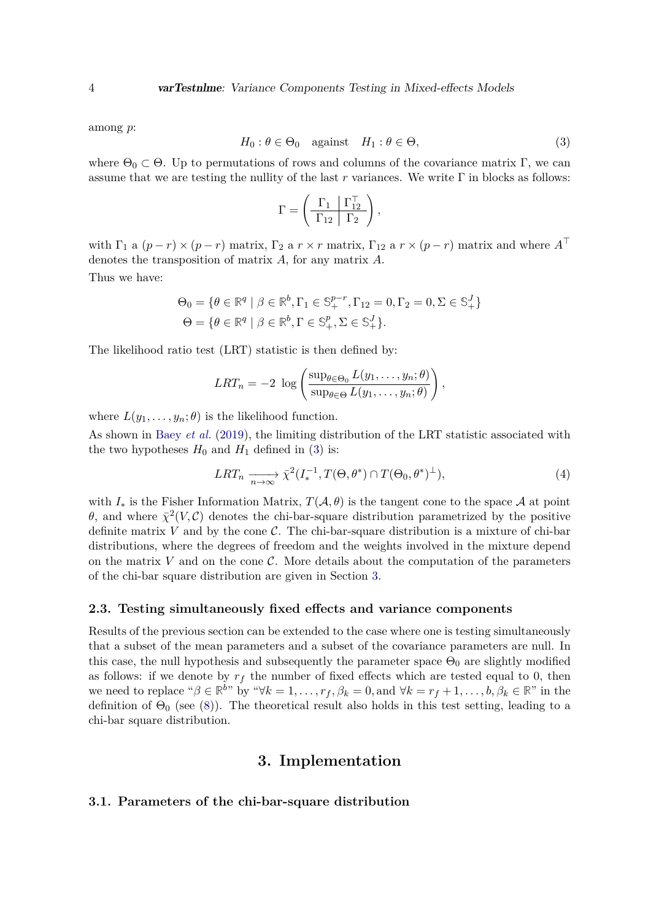<span id="page-3-1"></span>among *p*:

$$
H_0: \theta \in \Theta_0 \quad \text{against} \quad H_1: \theta \in \Theta,\tag{3}
$$

where  $\Theta_0 \subset \Theta$ . Up to permutations of rows and columns of the covariance matrix Γ, we can assume that we are testing the nullity of the last  $r$  variances. We write  $\Gamma$  in blocks as follows:

$$
\Gamma = \left(\begin{array}{c|c}\Gamma_1 & \Gamma_{12}^{\top} \\ \hline \Gamma_{12} & \Gamma_2 \end{array}\right),
$$

with  $\Gamma_1$  a  $(p-r) \times (p-r)$  matrix,  $\Gamma_2$  a  $r \times r$  matrix,  $\Gamma_{12}$  a  $r \times (p-r)$  matrix and where  $A^{\top}$ denotes the transposition of matrix *A*, for any matrix *A*.

Thus we have:

$$
\Theta_0 = \{ \theta \in \mathbb{R}^q \mid \beta \in \mathbb{R}^b, \Gamma_1 \in \mathbb{S}_+^{p-r}, \Gamma_{12} = 0, \Gamma_2 = 0, \Sigma \in \mathbb{S}_+^J \}
$$
  

$$
\Theta = \{ \theta \in \mathbb{R}^q \mid \beta \in \mathbb{R}^b, \Gamma \in \mathbb{S}_+^p, \Sigma \in \mathbb{S}_+^J \}.
$$

The likelihood ratio test (LRT) statistic is then defined by:

$$
LRT_n = -2 \log \left( \frac{\sup_{\theta \in \Theta_0} L(y_1, \dots, y_n; \theta)}{\sup_{\theta \in \Theta} L(y_1, \dots, y_n; \theta)} \right),
$$

where  $L(y_1, \ldots, y_n; \theta)$  is the likelihood function.

As shown in Baey *[et al.](#page-25-4)* [\(2019\)](#page-25-4), the limiting distribution of the LRT statistic associated with the two hypotheses  $H_0$  and  $H_1$  defined in [\(3\)](#page-3-1) is:

<span id="page-3-2"></span>
$$
LRT_n \xrightarrow[n \to \infty]{} \bar{\chi}^2(I_*^{-1}, T(\Theta, \theta^*) \cap T(\Theta_0, \theta^*)^{\perp}),
$$
\n<sup>(4)</sup>

with  $I_*$  is the Fisher Information Matrix,  $T(A, \theta)$  is the tangent cone to the space A at point *θ*, and where  $\bar{\chi}^2(V,\mathcal{C})$  denotes the chi-bar-square distribution parametrized by the positive definite matrix  $V$  and by the cone  $C$ . The chi-bar-square distribution is a mixture of chi-bar distributions, where the degrees of freedom and the weights involved in the mixture depend on the matrix  $V$  and on the cone  $\mathcal{C}$ . More details about the computation of the parameters of the chi-bar square distribution are given in Section [3.](#page-3-0)

# **2.3. Testing simultaneously fixed effects and variance components**

Results of the previous section can be extended to the case where one is testing simultaneously that a subset of the mean parameters and a subset of the covariance parameters are null. In this case, the null hypothesis and subsequently the parameter space  $\Theta_0$  are slightly modified as follows: if we denote by  $r_f$  the number of fixed effects which are tested equal to 0, then we need to replace " $\beta \in \mathbb{R}^{b}$ " by " $\forall k = 1, \ldots, r_f, \beta_k = 0$ , and  $\forall k = r_f + 1, \ldots, b, \beta_k \in \mathbb{R}^{\mathbb{N}}$  in the definition of  $\Theta_0$  (see [\(8\)](#page-5-0)). The theoretical result also holds in this test setting, leading to a chi-bar square distribution.

# **3. Implementation**

# <span id="page-3-0"></span>**3.1. Parameters of the chi-bar-square distribution**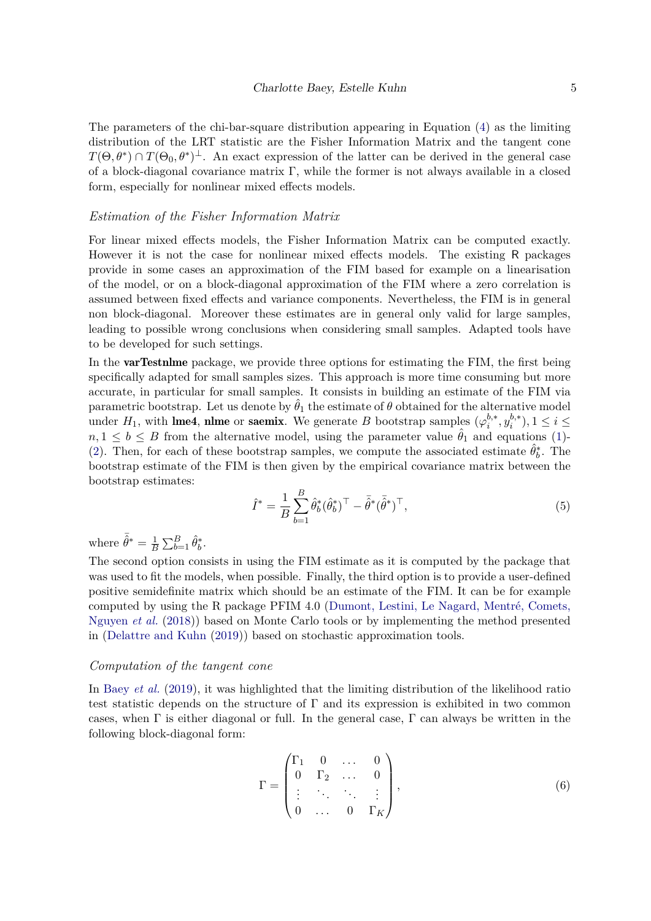The parameters of the chi-bar-square distribution appearing in Equation [\(4\)](#page-3-2) as the limiting distribution of the LRT statistic are the Fisher Information Matrix and the tangent cone  $T(\Theta, \theta^*) \cap T(\Theta_0, \theta^*)^{\perp}$ . An exact expression of the latter can be derived in the general case of a block-diagonal covariance matrix Γ, while the former is not always available in a closed form, especially for nonlinear mixed effects models.

#### *Estimation of the Fisher Information Matrix*

For linear mixed effects models, the Fisher Information Matrix can be computed exactly. However it is not the case for nonlinear mixed effects models. The existing R packages provide in some cases an approximation of the FIM based for example on a linearisation of the model, or on a block-diagonal approximation of the FIM where a zero correlation is assumed between fixed effects and variance components. Nevertheless, the FIM is in general non block-diagonal. Moreover these estimates are in general only valid for large samples, leading to possible wrong conclusions when considering small samples. Adapted tools have to be developed for such settings.

In the **varTestnlme** package, we provide three options for estimating the FIM, the first being specifically adapted for small samples sizes. This approach is more time consuming but more accurate, in particular for small samples. It consists in building an estimate of the FIM via parametric bootstrap. Let us denote by  $\hat{\theta}_1$  the estimate of  $\theta$  obtained for the alternative model under  $H_1$ , with **lme4**, **nlme** or **saemix**. We generate *B* bootstrap samples  $(\varphi_i^{b,*})$  $y_i^{b,*}, y_i^{b,*}$  $i^{(0,*)}$ ,  $1 \leq i \leq$  $n, 1 \leq b \leq B$  from the alternative model, using the parameter value  $\hat{\theta}_1$  and equations [\(1\)](#page-2-1)-[\(2\)](#page-2-2). Then, for each of these bootstrap samples, we compute the associated estimate  $\hat{\theta}_b^*$ . The bootstrap estimate of the FIM is then given by the empirical covariance matrix between the bootstrap estimates:

$$
\hat{I}^* = \frac{1}{B} \sum_{b=1}^B \hat{\theta}_b^* (\hat{\theta}_b^*)^\top - \bar{\hat{\theta}}^* (\bar{\hat{\theta}}^*)^\top,
$$
\n
$$
\tag{5}
$$

where  $\bar{\hat{\theta}}^* = \frac{1}{B}$  $\frac{1}{B}\sum_{b=1}^{B}\hat{\theta}_{b}^{*}$ .

The second option consists in using the FIM estimate as it is computed by the package that was used to fit the models, when possible. Finally, the third option is to provide a user-defined positive semidefinite matrix which should be an estimate of the FIM. It can be for example computed by using the R package PFIM 4.0 [\(Dumont, Lestini, Le Nagard, Mentré, Comets,](#page-25-8) [Nguyen](#page-25-8) *et al.* [\(2018\)](#page-25-8)) based on Monte Carlo tools or by implementing the method presented in [\(Delattre and Kuhn](#page-25-9) [\(2019\)](#page-25-9)) based on stochastic approximation tools.

### *Computation of the tangent cone*

In Baey *[et al.](#page-25-4)* [\(2019\)](#page-25-4), it was highlighted that the limiting distribution of the likelihood ratio test statistic depends on the structure of  $\Gamma$  and its expression is exhibited in two common cases, when  $\Gamma$  is either diagonal or full. In the general case,  $\Gamma$  can always be written in the following block-diagonal form:

$$
\Gamma = \begin{pmatrix} \Gamma_1 & 0 & \dots & 0 \\ 0 & \Gamma_2 & \dots & 0 \\ \vdots & \ddots & \ddots & \vdots \\ 0 & \dots & 0 & \Gamma_K \end{pmatrix},
$$
 (6)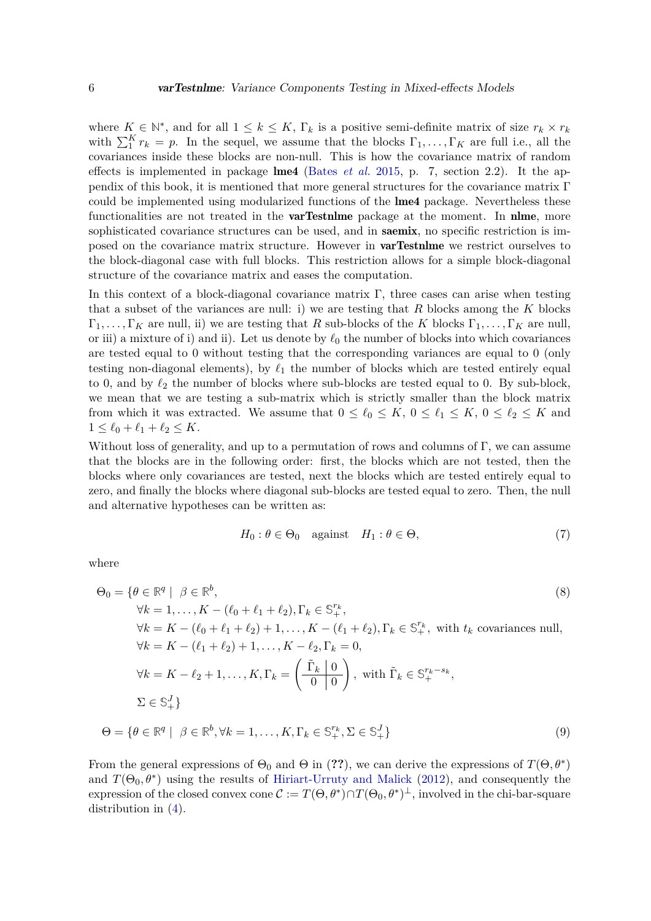where  $K \in \mathbb{N}^*$ , and for all  $1 \leq k \leq K$ ,  $\Gamma_k$  is a positive semi-definite matrix of size  $r_k \times r_k$ with  $\sum_{i=1}^{K} r_k = p$ . In the sequel, we assume that the blocks  $\Gamma_1, \ldots, \Gamma_K$  are full i.e., all the covariances inside these blocks are non-null. This is how the covariance matrix of random effects is implemented in package lme4 [\(Bates](#page-25-0) *et al.* [2015,](#page-25-0) p. 7, section 2.2). It the appendix of this book, it is mentioned that more general structures for the covariance matrix Γ could be implemented using modularized functions of the **lme4** package. Nevertheless these functionalities are not treated in the **varTestnime** package at the moment. In **nime**, more sophisticated covariance structures can be used, and in **saemix**, no specific restriction is imposed on the covariance matrix structure. However in varTestnlme we restrict ourselves to the block-diagonal case with full blocks. This restriction allows for a simple block-diagonal structure of the covariance matrix and eases the computation.

In this context of a block-diagonal covariance matrix Γ, three cases can arise when testing that a subset of the variances are null: i) we are testing that *R* blocks among the *K* blocks  $\Gamma_1, \ldots, \Gamma_K$  are null, ii) we are testing that *R* sub-blocks of the *K* blocks  $\Gamma_1, \ldots, \Gamma_K$  are null, or iii) a mixture of i) and ii). Let us denote by  $\ell_0$  the number of blocks into which covariances are tested equal to 0 without testing that the corresponding variances are equal to 0 (only testing non-diagonal elements), by  $\ell_1$  the number of blocks which are tested entirely equal to 0, and by  $\ell_2$  the number of blocks where sub-blocks are tested equal to 0. By sub-block, we mean that we are testing a sub-matrix which is strictly smaller than the block matrix from which it was extracted. We assume that  $0 \leq \ell_0 \leq K$ ,  $0 \leq \ell_1 \leq K$ ,  $0 \leq \ell_2 \leq K$  and  $1 \leq \ell_0 + \ell_1 + \ell_2 \leq K.$ 

Without loss of generality, and up to a permutation of rows and columns of  $\Gamma$ , we can assume that the blocks are in the following order: first, the blocks which are not tested, then the blocks where only covariances are tested, next the blocks which are tested entirely equal to zero, and finally the blocks where diagonal sub-blocks are tested equal to zero. Then, the null and alternative hypotheses can be written as:

<span id="page-5-0"></span>
$$
H_0: \theta \in \Theta_0 \quad \text{against} \quad H_1: \theta \in \Theta,\tag{7}
$$

where

$$
\Theta_0 = \{ \theta \in \mathbb{R}^q \mid \beta \in \mathbb{R}^b, \qquad (8)
$$
\n
$$
\forall k = 1, \dots, K - (\ell_0 + \ell_1 + \ell_2), \Gamma_k \in \mathbb{S}_+^{r_k},
$$
\n
$$
\forall k = K - (\ell_0 + \ell_1 + \ell_2) + 1, \dots, K - (\ell_1 + \ell_2), \Gamma_k \in \mathbb{S}_+^{r_k}, \text{ with } t_k \text{ covariances null},
$$
\n
$$
\forall k = K - (\ell_1 + \ell_2) + 1, \dots, K - \ell_2, \Gamma_k = 0,
$$
\n
$$
\forall k = K - \ell_2 + 1, \dots, K, \Gamma_k = \left( \frac{\tilde{\Gamma}_k \mid 0}{0 \mid 0} \right), \text{ with } \tilde{\Gamma}_k \in \mathbb{S}_+^{r_k - s_k},
$$
\n
$$
\Sigma \in \mathbb{S}_+^J \}
$$
\n
$$
\Theta = \{ \theta \in \mathbb{R}^q \mid \beta \in \mathbb{R}^b, \forall k = 1, \dots, K, \Gamma_k \in \mathbb{S}_+^{r_k}, \Sigma \in \mathbb{S}_+^J \}
$$
\n(9)

From the general expressions of  $\Theta_0$  and  $\Theta$  in (??), we can derive the expressions of  $T(\Theta, \theta^*)$ and  $T(\Theta_0, \theta^*)$  using the results of [Hiriart-Urruty and Malick](#page-26-11) [\(2012\)](#page-26-11), and consequently the expression of the closed convex cone  $\mathcal{C} := T(\Theta, \theta^*) \cap T(\Theta_0, \theta^*)^{\perp}$ , involved in the chi-bar-square distribution in [\(4\)](#page-3-2).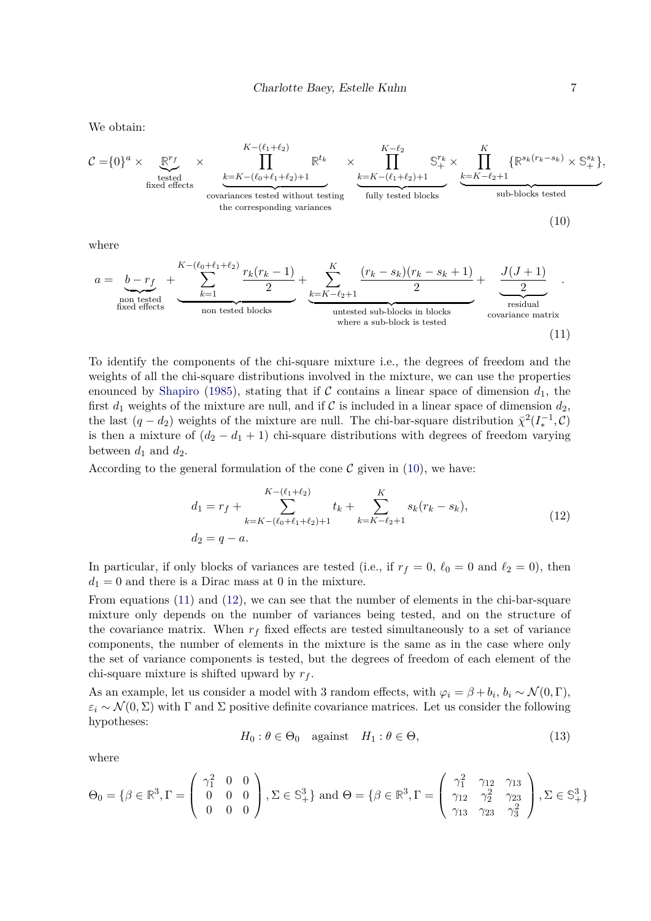We obtain:

$$
\mathcal{C} = \{0\}^{a} \times \underbrace{\mathbb{R}^{r_{f}}}_{\text{fixed effects}} \times \underbrace{\prod_{k=K-(\ell_{0}+\ell_{1}+\ell_{2})+1}^{K-(\ell_{1}+\ell_{2})}\mathbb{R}^{t_{k}}}_{\text{covariances tested without testing}} \times \underbrace{\prod_{k=K-(\ell_{1}+\ell_{2})+1}^{K-\ell_{2}} \mathbb{S}^{r_{k}}_{+} \times \prod_{k=K-\ell_{2}+1}^{K} \{\mathbb{R}^{s_{k}(r_{k}-s_{k})} \times \mathbb{S}^{s_{k}}_{+}\},
$$
\nsub-blocks tested

where

$$
a = \underbrace{b - r_f}_{\text{non tested}} + \underbrace{\sum_{k=1}^{K - (\ell_0 + \ell_1 + \ell_2)} \frac{r_k(r_k - 1)}{2}}_{\text{non tested blocks}} + \underbrace{\sum_{k=K - \ell_2 + 1}^{K} \frac{(r_k - s_k)(r_k - s_k + 1)}{2}}_{\text{untested sub-blocks in blocks}} + \underbrace{\frac{J(J+1)}{2}}_{\text{residual}}_{\text{covariance matrix}}
$$
\n(11)

To identify the components of the chi-square mixture i.e., the degrees of freedom and the weights of all the chi-square distributions involved in the mixture, we can use the properties enounced by [Shapiro](#page-26-12) [\(1985\)](#page-26-12), stating that if C contains a linear space of dimension  $d_1$ , the first  $d_1$  weights of the mixture are null, and if C is included in a linear space of dimension  $d_2$ , the last  $(q - d_2)$  weights of the mixture are null. The chi-bar-square distribution  $\bar{\chi}^2(I_*^{-1}, \mathcal{C})$ is then a mixture of  $(d_2 - d_1 + 1)$  chi-square distributions with degrees of freedom varying between  $d_1$  and  $d_2$ .

According to the general formulation of the cone  $\mathcal C$  given in [\(10\)](#page-6-0), we have:

<span id="page-6-2"></span><span id="page-6-1"></span><span id="page-6-0"></span>
$$
d_1 = r_f + \sum_{k=K-(\ell_0+\ell_1+\ell_2)+1}^{K-(\ell_1+\ell_2)} t_k + \sum_{k=K-\ell_2+1}^{K} s_k(r_k - s_k),
$$
  
(12)  

$$
d_2 = q - a.
$$

In particular, if only blocks of variances are tested (i.e., if  $r_f = 0$ ,  $\ell_0 = 0$  and  $\ell_2 = 0$ ), then  $d_1 = 0$  and there is a Dirac mass at 0 in the mixture.

From equations [\(11\)](#page-6-1) and [\(12\)](#page-6-2), we can see that the number of elements in the chi-bar-square mixture only depends on the number of variances being tested, and on the structure of the covariance matrix. When  $r_f$  fixed effects are tested simultaneously to a set of variance components, the number of elements in the mixture is the same as in the case where only the set of variance components is tested, but the degrees of freedom of each element of the chi-square mixture is shifted upward by *r<sup>f</sup>* .

As an example, let us consider a model with 3 random effects, with  $\varphi_i = \beta + b_i$ ,  $b_i \sim \mathcal{N}(0, \Gamma)$ ,  $\varepsilon_i \sim \mathcal{N}(0, \Sigma)$  with  $\Gamma$  and  $\Sigma$  positive definite covariance matrices. Let us consider the following hypotheses:

$$
H_0: \theta \in \Theta_0 \quad \text{against} \quad H_1: \theta \in \Theta,\tag{13}
$$

where

$$
\Theta_0 = \{ \beta \in \mathbb{R}^3, \Gamma = \begin{pmatrix} \gamma_1^2 & 0 & 0 \\ 0 & 0 & 0 \\ 0 & 0 & 0 \end{pmatrix}, \Sigma \in \mathbb{S}_+^3 \} \text{ and } \Theta = \{ \beta \in \mathbb{R}^3, \Gamma = \begin{pmatrix} \gamma_1^2 & \gamma_{12} & \gamma_{13} \\ \gamma_{12} & \gamma_2^2 & \gamma_{23} \\ \gamma_{13} & \gamma_{23} & \gamma_3^2 \end{pmatrix}, \Sigma \in \mathbb{S}_+^3 \}
$$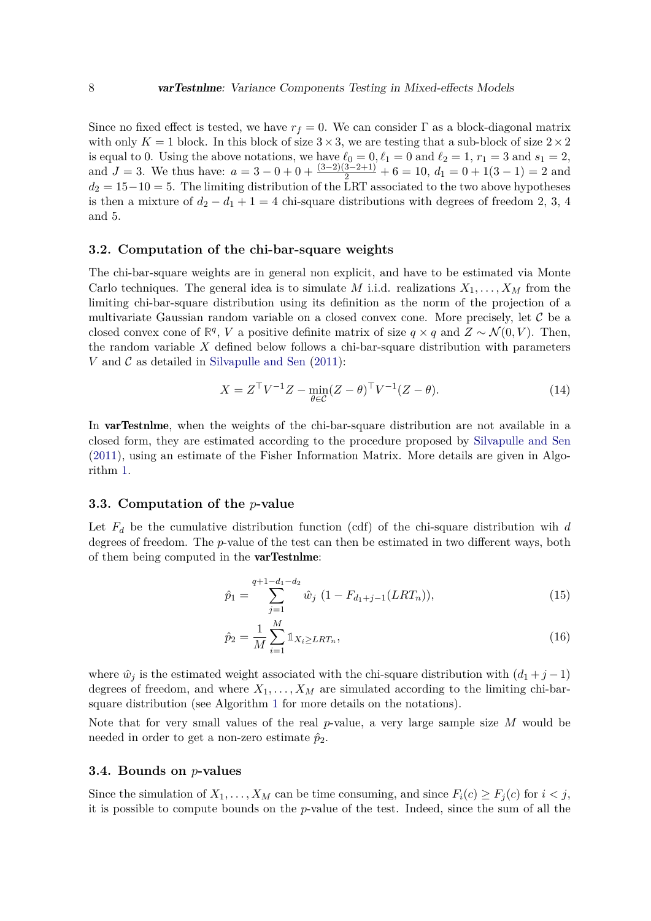Since no fixed effect is tested, we have  $r_f = 0$ . We can consider  $\Gamma$  as a block-diagonal matrix with only  $K = 1$  block. In this block of size  $3 \times 3$ , we are testing that a sub-block of size  $2 \times 2$ is equal to 0. Using the above notations, we have  $\ell_0 = 0, \ell_1 = 0$  and  $\ell_2 = 1, r_1 = 3$  and  $s_1 = 2$ , and  $J = 3$ . We thus have:  $a = 3 - 0 + 0 + \frac{(3-2)(3-2+1)}{2} + 6 = 10$ ,  $d_1 = 0 + 1(3-1) = 2$  and  $d_2 = 15-10 = 5$ . The limiting distribution of the LRT associated to the two above hypotheses is then a mixture of  $d_2 - d_1 + 1 = 4$  chi-square distributions with degrees of freedom 2, 3, 4 and 5.

### <span id="page-7-2"></span>**3.2. Computation of the chi-bar-square weights**

The chi-bar-square weights are in general non explicit, and have to be estimated via Monte Carlo techniques. The general idea is to simulate *M* i.i.d. realizations  $X_1, \ldots, X_M$  from the limiting chi-bar-square distribution using its definition as the norm of the projection of a multivariate Gaussian random variable on a closed convex cone. More precisely, let  $\mathcal C$  be a closed convex cone of  $\mathbb{R}^q$ , *V* a positive definite matrix of size  $q \times q$  and  $Z \sim \mathcal{N}(0, V)$ . Then, the random variable *X* defined below follows a chi-bar-square distribution with parameters *V* and  $\mathcal C$  as detailed in [Silvapulle and Sen](#page-27-3)  $(2011)$ :

$$
X = ZT V-1 Z - \min_{\theta \in \mathcal{C}} (Z - \theta)T V-1 (Z - \theta).
$$
 (14)

In **varTestnlme**, when the weights of the chi-bar-square distribution are not available in a closed form, they are estimated according to the procedure proposed by [Silvapulle and Sen](#page-27-3) [\(2011\)](#page-27-3), using an estimate of the Fisher Information Matrix. More details are given in Algorithm [1.](#page-8-0)

### **3.3. Computation of the** *p***-value**

Let  $F_d$  be the cumulative distribution function (cdf) of the chi-square distribution wih  $d$ degrees of freedom. The *p*-value of the test can then be estimated in two different ways, both of them being computed in the varTestnlme:

<span id="page-7-0"></span>
$$
\hat{p}_1 = \sum_{j=1}^{q+1-d_1-d_2} \hat{w}_j \ (1 - F_{d_1+j-1}(LRT_n)),\tag{15}
$$

<span id="page-7-1"></span>
$$
\hat{p}_2 = \frac{1}{M} \sum_{i=1}^{M} \mathbb{1}_{X_i \ge LRT_n},\tag{16}
$$

where  $\hat{w}_j$  is the estimated weight associated with the chi-square distribution with  $(d_1 + j - 1)$ degrees of freedom, and where  $X_1, \ldots, X_M$  are simulated according to the limiting chi-barsquare distribution (see Algorithm [1](#page-8-0) for more details on the notations).

Note that for very small values of the real *p*-value, a very large sample size *M* would be needed in order to get a non-zero estimate  $\hat{p}_2$ .

#### **3.4. Bounds on** *p***-values**

Since the simulation of  $X_1, \ldots, X_M$  can be time consuming, and since  $F_i(c) \geq F_i(c)$  for  $i < j$ , it is possible to compute bounds on the *p*-value of the test. Indeed, since the sum of all the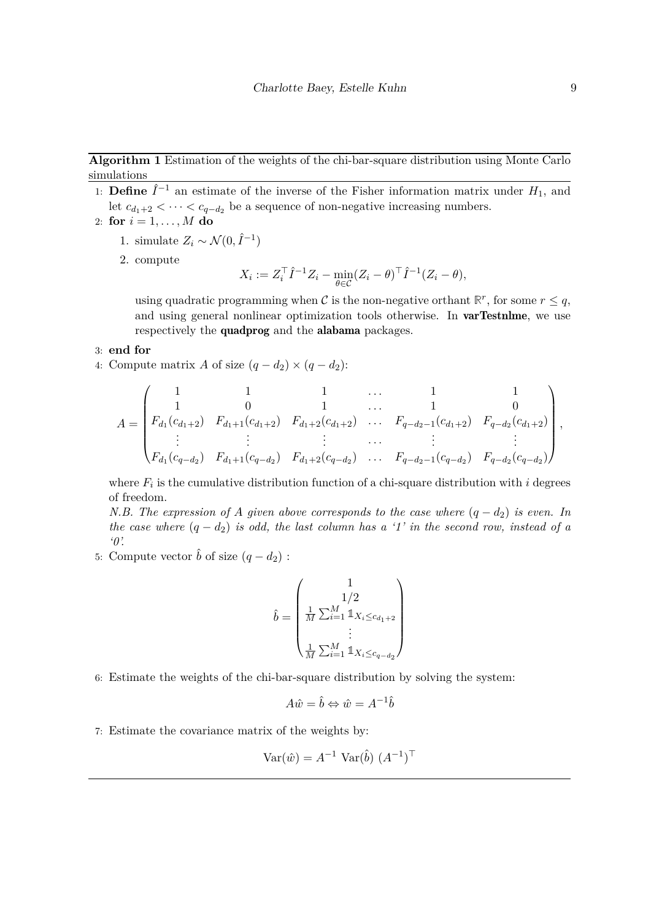**Algorithm 1** Estimation of the weights of the chi-bar-square distribution using Monte Carlo simulations

- <span id="page-8-0"></span>1: **Define**  $\hat{I}^{-1}$  an estimate of the inverse of the Fisher information matrix under  $H_1$ , and let  $c_{d_1+2}$  *<* · · · *< c<sub>q−</sub>*<sub>*d*<sub>2</sub></sub> be a sequence of non-negative increasing numbers.
- 2: **for**  $i = 1, ..., M$  **do** 
	- 1. simulate  $Z_i \sim \mathcal{N}(0, \hat{I}^{-1})$
	- 2. compute

$$
X_i := Z_i^{\top} \hat{I}^{-1} Z_i - \min_{\theta \in \mathcal{C}} (Z_i - \theta)^{\top} \hat{I}^{-1} (Z_i - \theta),
$$

using quadratic programming when C is the non-negative orthant  $\mathbb{R}^r$ , for some  $r \leq q$ , and using general nonlinear optimization tools otherwise. In **varTestnlme**, we use respectively the quadprog and the alabama packages.

#### 3: **end for**

4: Compute matrix *A* of size  $(q - d_2) \times (q - d_2)$ :

$$
A = \begin{pmatrix} 1 & 1 & 1 & \dots & 1 & 1 \\ 1 & 0 & 1 & \dots & 1 & 0 \\ F_{d_1}(c_{d_1+2}) & F_{d_1+1}(c_{d_1+2}) & F_{d_1+2}(c_{d_1+2}) & \dots & F_{q-d_2-1}(c_{d_1+2}) & F_{q-d_2}(c_{d_1+2}) \\ \vdots & \vdots & \vdots & \dots & \vdots & \vdots \\ F_{d_1}(c_{q-d_2}) & F_{d_1+1}(c_{q-d_2}) & F_{d_1+2}(c_{q-d_2}) & \dots & F_{q-d_2-1}(c_{q-d_2}) & F_{q-d_2}(c_{q-d_2}) \end{pmatrix},
$$

where  $F_i$  is the cumulative distribution function of a chi-square distribution with  $i$  degrees of freedom.

*N.B. The expression of A given above corresponds to the case where*  $(q - d_2)$  *is even. In the case where*  $(q - d_2)$  *is odd, the last column has a '1' in the second row, instead of a '0'.*

5: Compute vector  $\hat{b}$  of size  $(q - d_2)$ :

$$
\hat{b} = \begin{pmatrix} 1 \\ 1/2 \\ \frac{1}{M}\sum_{i=1}^M \mathbb{1}_{X_i \leq c_{d_1+2}} \\ \vdots \\ \frac{1}{M}\sum_{i=1}^M \mathbb{1}_{X_i \leq c_{q-d_2}} \end{pmatrix}
$$

6: Estimate the weights of the chi-bar-square distribution by solving the system:

$$
A\hat{w} = \hat{b} \Leftrightarrow \hat{w} = A^{-1}\hat{b}
$$

7: Estimate the covariance matrix of the weights by:

$$
Var(\hat{w}) = A^{-1} Var(\hat{b}) (A^{-1})^{\top}
$$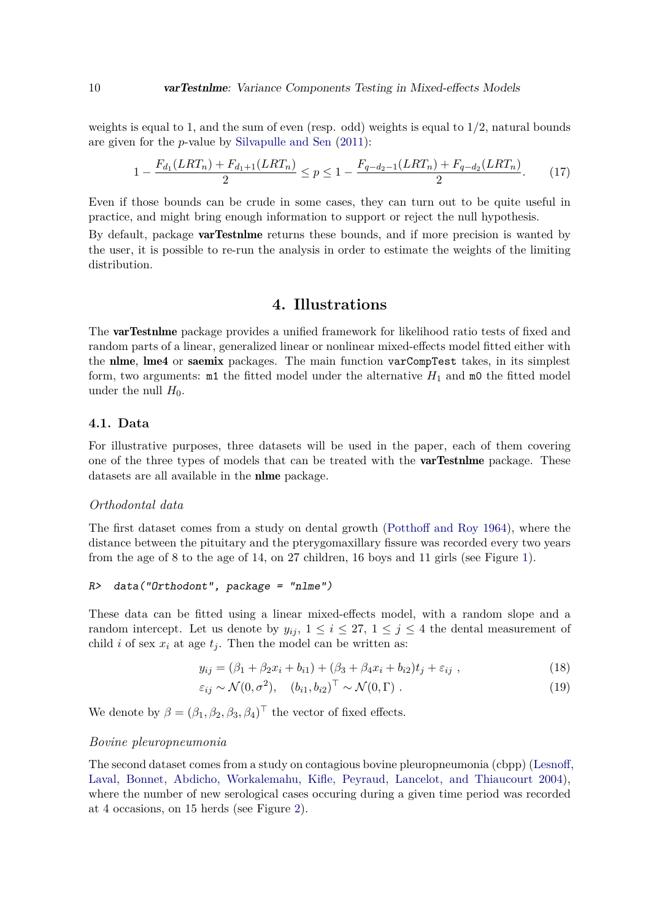weights is equal to 1, and the sum of even (resp. odd) weights is equal to  $1/2$ , natural bounds are given for the *p*-value by [Silvapulle and Sen](#page-27-3) [\(2011\)](#page-27-3):

$$
1 - \frac{F_{d_1}(LRT_n) + F_{d_1+1}(LRT_n)}{2} \le p \le 1 - \frac{F_{q-d_2-1}(LRT_n) + F_{q-d_2}(LRT_n)}{2}.\tag{17}
$$

Even if those bounds can be crude in some cases, they can turn out to be quite useful in practice, and might bring enough information to support or reject the null hypothesis.

By default, package **varTestnime** returns these bounds, and if more precision is wanted by the user, it is possible to re-run the analysis in order to estimate the weights of the limiting distribution.

# <span id="page-9-2"></span>**4. Illustrations**

<span id="page-9-0"></span>The **varTestnlme** package provides a unified framework for likelihood ratio tests of fixed and random parts of a linear, generalized linear or nonlinear mixed-effects model fitted either with the nlme, lme4 or saemix packages. The main function varCompTest takes, in its simplest form, two arguments:  $m1$  the fitted model under the alternative  $H_1$  and  $m0$  the fitted model under the null  $H_0$ .

### **4.1. Data**

For illustrative purposes, three datasets will be used in the paper, each of them covering one of the three types of models that can be treated with the varTestnlme package. These datasets are all available in the nlme package.

#### *Orthodontal data*

The first dataset comes from a study on dental growth [\(Potthoff and Roy](#page-26-13) [1964\)](#page-26-13), where the distance between the pituitary and the pterygomaxillary fissure was recorded every two years from the age of 8 to the age of 14, on 27 children, 16 boys and 11 girls (see Figure [1\)](#page-10-0).

```
R> data("Orthodont", package = "nlme")
```
These data can be fitted using a linear mixed-effects model, with a random slope and a random intercept. Let us denote by  $y_{ij}$ ,  $1 \leq i \leq 27$ ,  $1 \leq j \leq 4$  the dental measurement of child *i* of sex  $x_i$  at age  $t_j$ . Then the model can be written as:

<span id="page-9-1"></span>
$$
y_{ij} = (\beta_1 + \beta_2 x_i + b_{i1}) + (\beta_3 + \beta_4 x_i + b_{i2})t_j + \varepsilon_{ij}, \qquad (18)
$$

$$
\varepsilon_{ij} \sim \mathcal{N}(0, \sigma^2), \quad (b_{i1}, b_{i2})^\top \sim \mathcal{N}(0, \Gamma) \tag{19}
$$

We denote by  $\beta = (\beta_1, \beta_2, \beta_3, \beta_4)^\top$  the vector of fixed effects.

#### *Bovine pleuropneumonia*

The second dataset comes from a study on contagious bovine pleuropneumonia (cbpp) [\(Lesnoff,](#page-26-14) [Laval, Bonnet, Abdicho, Workalemahu, Kifle, Peyraud, Lancelot, and Thiaucourt](#page-26-14) [2004\)](#page-26-14), where the number of new serological cases occuring during a given time period was recorded at 4 occasions, on 15 herds (see Figure [2\)](#page-10-1).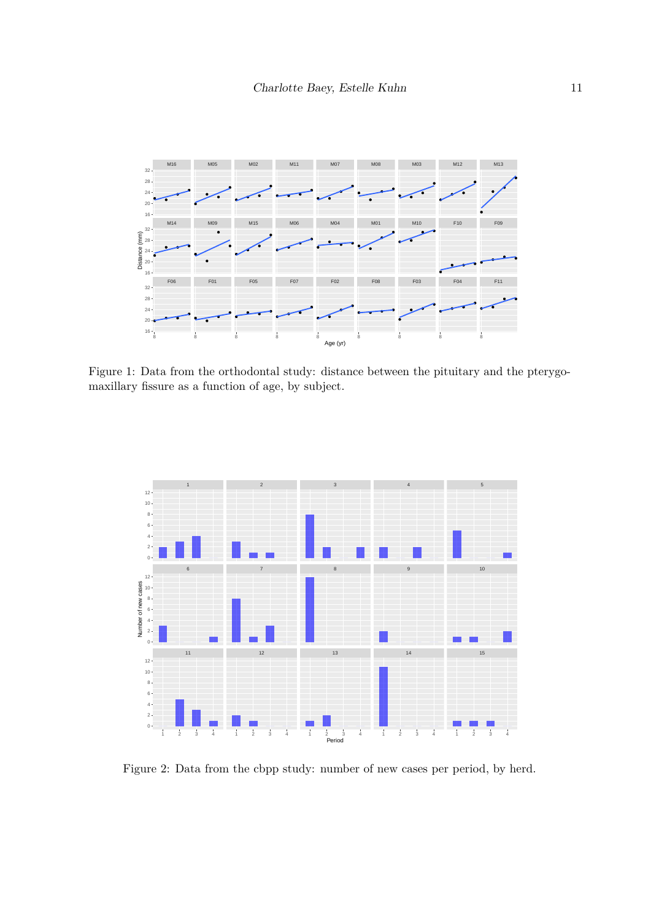

Figure 1: Data from the orthodontal study: distance between the pituitary and the pterygomaxillary fissure as a function of age, by subject.

<span id="page-10-0"></span>

<span id="page-10-1"></span>Figure 2: Data from the cbpp study: number of new cases per period, by herd.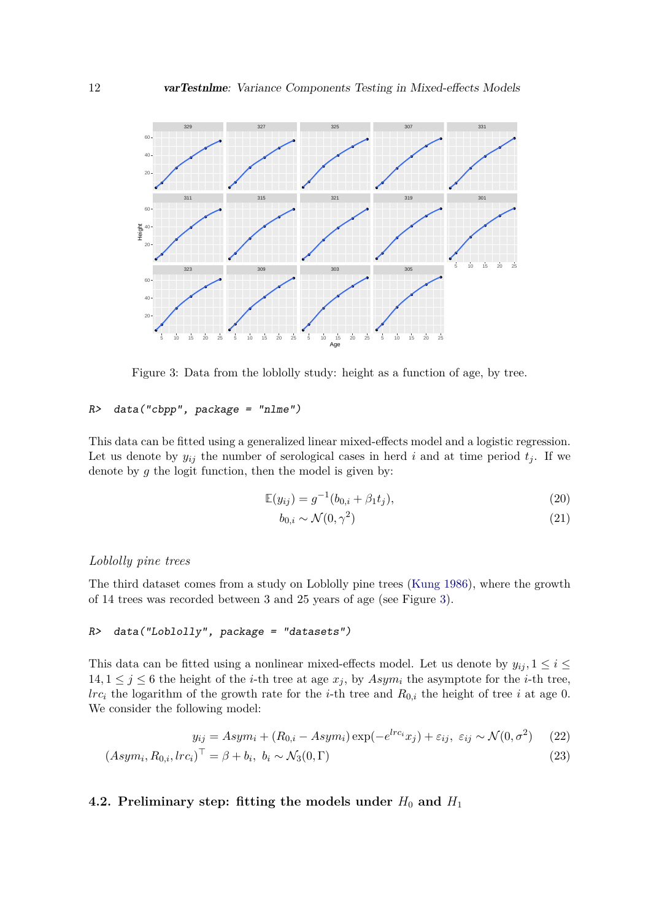

Figure 3: Data from the loblolly study: height as a function of age, by tree.

# R> data("cbpp", package = "nlme")

This data can be fitted using a generalized linear mixed-effects model and a logistic regression. Let us denote by  $y_{ij}$  the number of serological cases in herd *i* and at time period  $t_j$ . If we denote by *g* the logit function, then the model is given by:

$$
\mathbb{E}(y_{ij}) = g^{-1}(b_{0,i} + \beta_1 t_j),\tag{20}
$$

<span id="page-11-2"></span><span id="page-11-1"></span><span id="page-11-0"></span>
$$
b_{0,i} \sim \mathcal{N}(0,\gamma^2) \tag{21}
$$

# *Loblolly pine trees*

(*Asym<sup>i</sup>*

The third dataset comes from a study on Loblolly pine trees [\(Kung](#page-26-15) [1986\)](#page-26-15), where the growth of 14 trees was recorded between 3 and 25 years of age (see Figure [3\)](#page-11-0).

# R> data("Loblolly", package = "datasets")

This data can be fitted using a nonlinear mixed-effects model. Let us denote by  $y_{ij}$ ,  $1 \le i \le$  $14, 1 \leq j \leq 6$  the height of the *i*-th tree at age  $x_j$ , by  $Asym_i$  the asymptote for the *i*-th tree, *lrc<sub>i</sub>* the logarithm of the growth rate for the *i*-th tree and  $R_{0,i}$  the height of tree *i* at age 0. We consider the following model:

$$
y_{ij} = Asym_i + (R_{0,i} - Asym_i) \exp(-e^{lrc_i}x_j) + \varepsilon_{ij}, \ \varepsilon_{ij} \sim \mathcal{N}(0, \sigma^2)
$$
 (22)

$$
Asymi, R0,i, lrci)T = \beta + bi, bi \sim \mathcal{N}_3(0, \Gamma)
$$
\n(23)

# **4.2. Preliminary step: fitting the models under**  $H_0$  **and**  $H_1$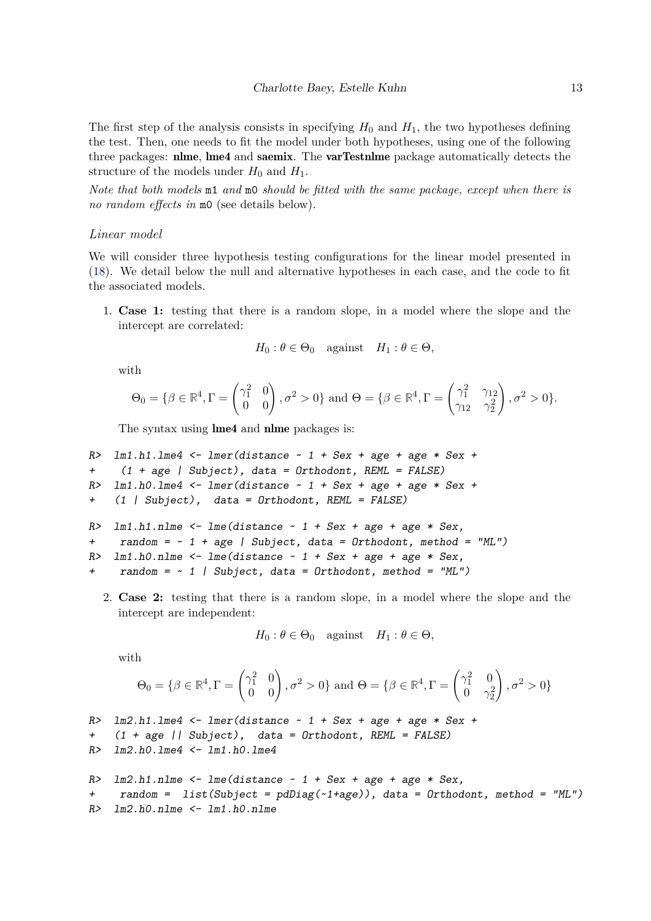The first step of the analysis consists in specifying  $H_0$  and  $H_1$ , the two hypotheses defining the test. Then, one needs to fit the model under both hypotheses, using one of the following three packages: nlme, lme4 and saemix. The varTestnlme package automatically detects the structure of the models under  $H_0$  and  $H_1$ .

*Note that both models* m1 *and* m0 *should be fitted with the same package, except when there is no random effects in* m0 (see details below).

# *Linear model*

We will consider three hypothesis testing configurations for the linear model presented in [\(18\)](#page-9-1). We detail below the null and alternative hypotheses in each case, and the code to fit the associated models.

1. **Case 1:** testing that there is a random slope, in a model where the slope and the intercept are correlated:

$$
H_0: \theta \in \Theta_0
$$
 against  $H_1: \theta \in \Theta$ ,

with

$$
\Theta_0 = \{ \beta \in \mathbb{R}^4, \Gamma = \begin{pmatrix} \gamma_1^2 & 0 \\ 0 & 0 \end{pmatrix}, \sigma^2 > 0 \} \text{ and } \Theta = \{ \beta \in \mathbb{R}^4, \Gamma = \begin{pmatrix} \gamma_1^2 & \gamma_{12} \\ \gamma_{12} & \gamma_2^2 \end{pmatrix}, \sigma^2 > 0 \}.
$$

The syntax using **lme4** and **nlme** packages is:

```
R> lm1.h1.lme4 <- lmer (distance \sim 1 + Sex + age + age * Sex +
+ (1 + age | Subject), data = Orthodont, REML = FALSE)
R> lm1.h0.lme4 <- lmer(distance \sim 1 + Sex + age + age * Sex +
+ (1 | Subject), data = Orthodont, REML = FALSE)
R> lm1.h1.nlme <- lme(distance \sim 1 + Sex + age + age * Sex,
+ random = ~ 1 + age | Subject, data = Orthodont, method = "ML")
R> lm1.h0.nlme <- lme(distance \sim 1 + Sex + age + age * Sex,
+ random = \sim 1 | Subject, data = Orthodont, method = "ML")
```
2. **Case 2:** testing that there is a random slope, in a model where the slope and the intercept are independent:

$$
H_0: \theta \in \Theta_0
$$
 against  $H_1: \theta \in \Theta$ ,

with

$$
\Theta_0 = \{\beta \in \mathbb{R}^4, \Gamma = \begin{pmatrix} \gamma_1^2 & 0 \\ 0 & 0 \end{pmatrix}, \sigma^2 > 0\} \text{ and } \Theta = \{\beta \in \mathbb{R}^4, \Gamma = \begin{pmatrix} \gamma_1^2 & 0 \\ 0 & \gamma_2^2 \end{pmatrix}, \sigma^2 > 0\}
$$

```
R> lm2.h1.lme4 <- lmer(distance \sim 1 + Sex + age + age * Sex +
+ (1 + age || Subject), data = Orthodont, REML = FALSE)
R > lm2.h0.lme4 < -lm1.h0.lme4R> lm2.h1.nlme <- lme(distance ~ 1 + Sex + age + age * Sex,
+ random = list(Subject = pdDiag(~1+age)), data = Orthodont, method = "ML")
```

```
R> lm2.h0.nlme <- lm1.h0.nlme
```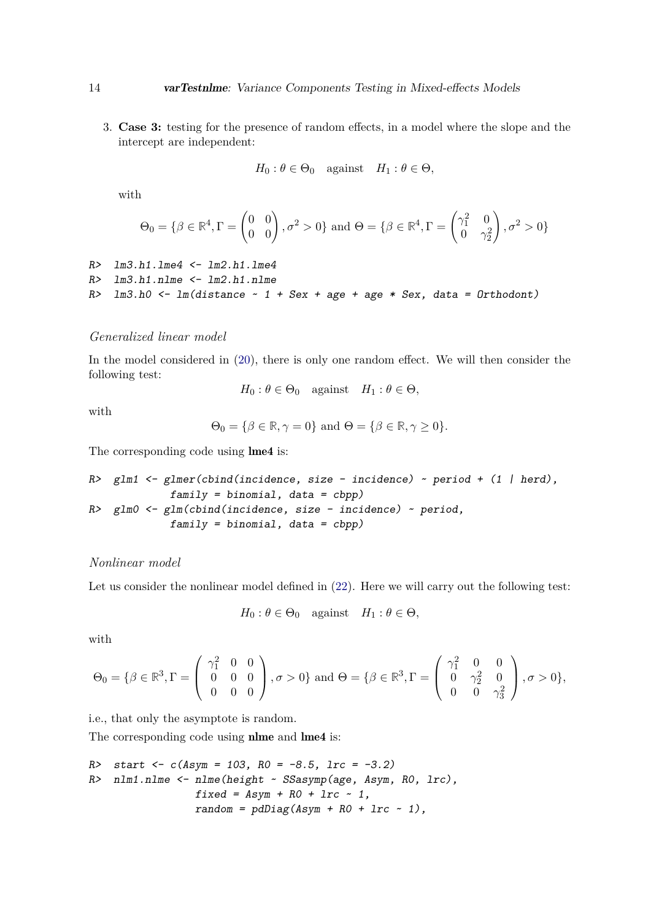3. **Case 3:** testing for the presence of random effects, in a model where the slope and the intercept are independent:

$$
H_0: \theta \in \Theta_0 \quad \text{against} \quad H_1: \theta \in \Theta,
$$

with

$$
\Theta_0 = \{\beta \in \mathbb{R}^4, \Gamma = \begin{pmatrix} 0 & 0 \\ 0 & 0 \end{pmatrix}, \sigma^2 > 0\} \text{ and } \Theta = \{\beta \in \mathbb{R}^4, \Gamma = \begin{pmatrix} \gamma_1^2 & 0 \\ 0 & \gamma_2^2 \end{pmatrix}, \sigma^2 > 0\}
$$

```
R > lm3.h1.lme4 < -lm2.h1.lme4R> lm3.h1.nlme <- lm2.h1.nlme
R> lm3.h0 <- lm(distance \sim 1 + Sex + age + age * Sex, data = Orthodont)
```
# *Generalized linear model*

In the model considered in [\(20\)](#page-11-1), there is only one random effect. We will then consider the following test:

 $H_0: \theta \in \Theta_0$  against  $H_1: \theta \in \Theta$ ,

with

$$
\Theta_0 = \{ \beta \in \mathbb{R}, \gamma = 0 \} \text{ and } \Theta = \{ \beta \in \mathbb{R}, \gamma \ge 0 \}.
$$

The corresponding code using lme4 is:

R> glm1 <- glmer(cbind(incidence, size - incidence) ~ period + (1 | herd), family = binomial, data = cbpp) R> glm0 <- glm(cbind(incidence, size - incidence) ~ period, family = binomial, data = cbpp)

# *Nonlinear model*

Let us consider the nonlinear model defined in  $(22)$ . Here we will carry out the following test:

$$
H_0: \theta \in \Theta_0
$$
 against  $H_1: \theta \in \Theta$ ,

with

$$
\Theta_0 = \{\beta \in \mathbb{R}^3, \Gamma = \begin{pmatrix} \gamma_1^2 & 0 & 0 \\ 0 & 0 & 0 \\ 0 & 0 & 0 \end{pmatrix}, \sigma > 0\} \text{ and } \Theta = \{\beta \in \mathbb{R}^3, \Gamma = \begin{pmatrix} \gamma_1^2 & 0 & 0 \\ 0 & \gamma_2^2 & 0 \\ 0 & 0 & \gamma_3^2 \end{pmatrix}, \sigma > 0\},\
$$

i.e., that only the asymptote is random.

The corresponding code using **nlme** and **lme4** is:

R> start 
$$
\leftarrow
$$
 c(Asym = 103, R0 = -8.5, lrc = -3.2)  
R> null.nlm =  $\leftarrow$  nlm (height  $\sim$  SSasymp(age, Asym, R0, lrc),  
fixed = Asym + R0 + lrc  $\sim$  1,  
random = pdDiag(Asym + R0 + lrc  $\sim$  1),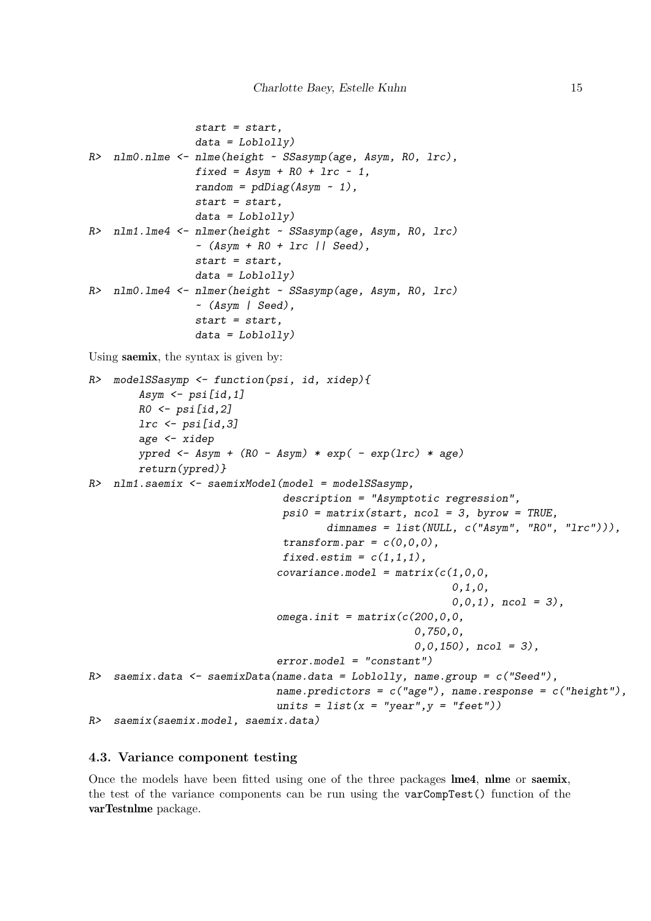```
start = start.
                 data = Loblolly)R> nlm0.nlme <- nlme(height ~ SSasymp(age, Asym, R0, lrc),
                 fixed = Asym + R0 + Inc - 1,random = pdDiag(Asym \sim 1),
                 start = start,
                 data = Loblolly)R> nlm1.lme4 <- nlmer(height ~ SSasymp(age, Asym, R0, lrc)
                 ~(Asym + R0 + Irc || Seed),start = start.
                 data = Loblolly)R> nlm0.lme4 <- nlmer(height ~ SSasymp(age, Asym, R0, lrc)
                 ~ (Asym | Seed),
                 start = start,
                 data = Loblolly)Using saemix, the syntax is given by:
R> modelSSasymp <- function(psi, id, xidep){
        Asym \le psi[id, 1]
        RO \leftarrow psi[id,2]lrc <- psi[id,3]
        age <- xidep
        ypred \leftarrow Asym + (RO - Asym) * exp( - exp(lrc) * age)
        return(ypred)}
R> nlm1.saemix <- saemixModel(model = modelSSasymp,
                                description = "Asymptotic regression",
                                psi = matrix(start, ncol = 3, byrow = TRUE,dimensiones = list(NULL, c("Asym", "RO", "Inc"))),transform.par = c(0,0,0),
                                fixed.estim = c(1,1,1).
                               covariance.model = matrix(c(1,0,0,0,1,0,
                                                            0, 0, 1), ncol = 3),
                               omega.init = matrix(c(200, 0, 0,0,750,0,
                                                      0, 0, 150, ncol = 3,
                               error.model = "constant")
R> saemix.data \leq saemixData(name.data = Loblolly, name.group = c("Seed"),
                               name.predictors = c("age"), name.response = c("height"),
                               units = list(x = "year", y = "feet"))R> saemix(saemix.model, saemix.data)
```
### **4.3. Variance component testing**

Once the models have been fitted using one of the three packages lme4, nlme or saemix, the test of the variance components can be run using the varCompTest() function of the varTestnlme package.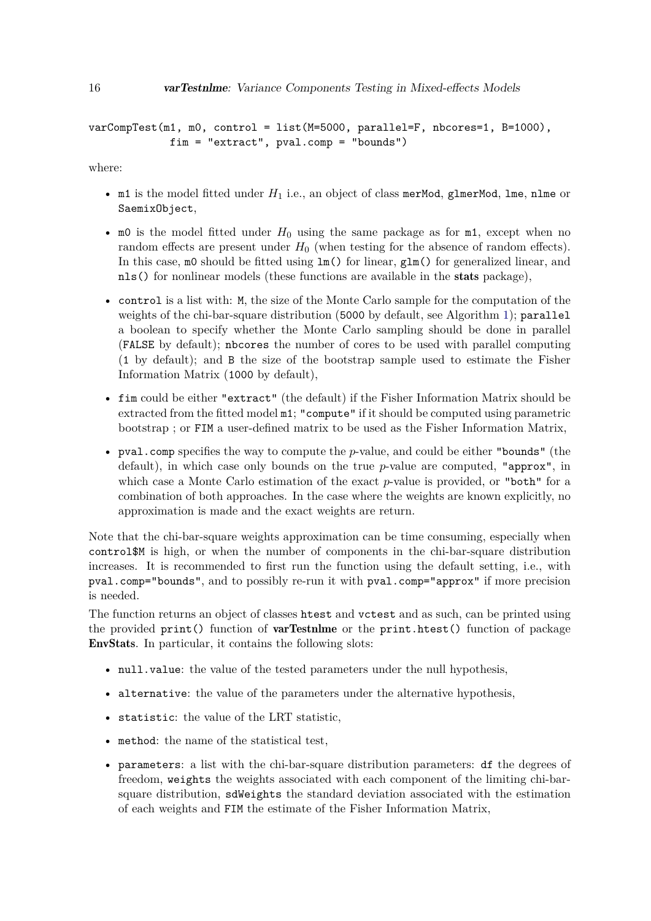```
varCompTest(m1, m0, control = list(M=5000, parallel=F, nbcores=1, B=1000),
             fim = "extract", pval.comp = "bounds")
```
where:

- m1 is the model fitted under *H*<sup>1</sup> i.e., an object of class merMod, glmerMod, lme, nlme or SaemixObject,
- m0 is the model fitted under  $H_0$  using the same package as for m1, except when no random effects are present under  $H_0$  (when testing for the absence of random effects). In this case, m0 should be fitted using lm() for linear, glm() for generalized linear, and nls() for nonlinear models (these functions are available in the stats package),
- control is a list with: M, the size of the Monte Carlo sample for the computation of the weights of the chi-bar-square distribution (5000 by default, see Algorithm [1\)](#page-8-0); parallel a boolean to specify whether the Monte Carlo sampling should be done in parallel (FALSE by default); nbcores the number of cores to be used with parallel computing (1 by default); and B the size of the bootstrap sample used to estimate the Fisher Information Matrix (1000 by default),
- fim could be either "extract" (the default) if the Fisher Information Matrix should be extracted from the fitted model m1; "compute" if it should be computed using parametric bootstrap ; or FIM a user-defined matrix to be used as the Fisher Information Matrix,
- pval.comp specifies the way to compute the *p*-value, and could be either "bounds" (the default), in which case only bounds on the true *p*-value are computed, "approx", in which case a Monte Carlo estimation of the exact *p*-value is provided, or "both" for a combination of both approaches. In the case where the weights are known explicitly, no approximation is made and the exact weights are return.

Note that the chi-bar-square weights approximation can be time consuming, especially when control\$M is high, or when the number of components in the chi-bar-square distribution increases. It is recommended to first run the function using the default setting, i.e., with pval.comp="bounds", and to possibly re-run it with pval.comp="approx" if more precision is needed.

The function returns an object of classes htest and vctest and as such, can be printed using the provided print() function of varTestnlme or the print.htest() function of package EnvStats. In particular, it contains the following slots:

- null.value: the value of the tested parameters under the null hypothesis,
- alternative: the value of the parameters under the alternative hypothesis,
- statistic: the value of the LRT statistic,
- method: the name of the statistical test,
- parameters: a list with the chi-bar-square distribution parameters: df the degrees of freedom, weights the weights associated with each component of the limiting chi-barsquare distribution, sdWeights the standard deviation associated with the estimation of each weights and FIM the estimate of the Fisher Information Matrix,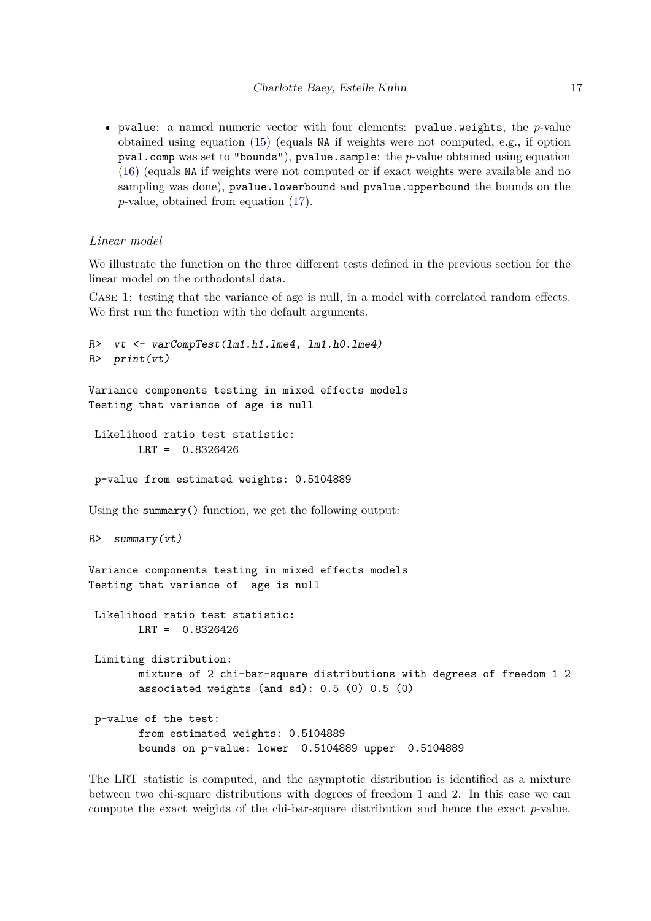• pvalue: a named numeric vector with four elements: pvalue.weights, the *p*-value obtained using equation [\(15\)](#page-7-0) (equals NA if weights were not computed, e.g., if option pval.comp was set to "bounds"), pvalue.sample: the *p*-value obtained using equation [\(16\)](#page-7-1) (equals NA if weights were not computed or if exact weights were available and no sampling was done), pvalue.lowerbound and pvalue.upperbound the bounds on the *p*-value, obtained from equation [\(17\)](#page-9-2).

# *Linear model*

We illustrate the function on the three different tests defined in the previous section for the linear model on the orthodontal data.

Case 1: testing that the variance of age is null, in a model with correlated random effects. We first run the function with the default arguments.

```
R> vt <- varCompTest(lm1.h1.lme4, lm1.h0.lme4)
R> print(vt)
Variance components testing in mixed effects models
Testing that variance of age is null
 Likelihood ratio test statistic:
        LRT = 0.8326426
 p-value from estimated weights: 0.5104889
Using the summary() function, we get the following output:
R> summary(vt)
Variance components testing in mixed effects models
Testing that variance of age is null
 Likelihood ratio test statistic:
        LRT = 0.8326426
 Limiting distribution:
        mixture of 2 chi-bar-square distributions with degrees of freedom 1 2
        associated weights (and sd): 0.5 (0) 0.5 (0)
 p-value of the test:
        from estimated weights: 0.5104889
        bounds on p-value: lower 0.5104889 upper 0.5104889
```
The LRT statistic is computed, and the asymptotic distribution is identified as a mixture between two chi-square distributions with degrees of freedom 1 and 2. In this case we can compute the exact weights of the chi-bar-square distribution and hence the exact *p*-value.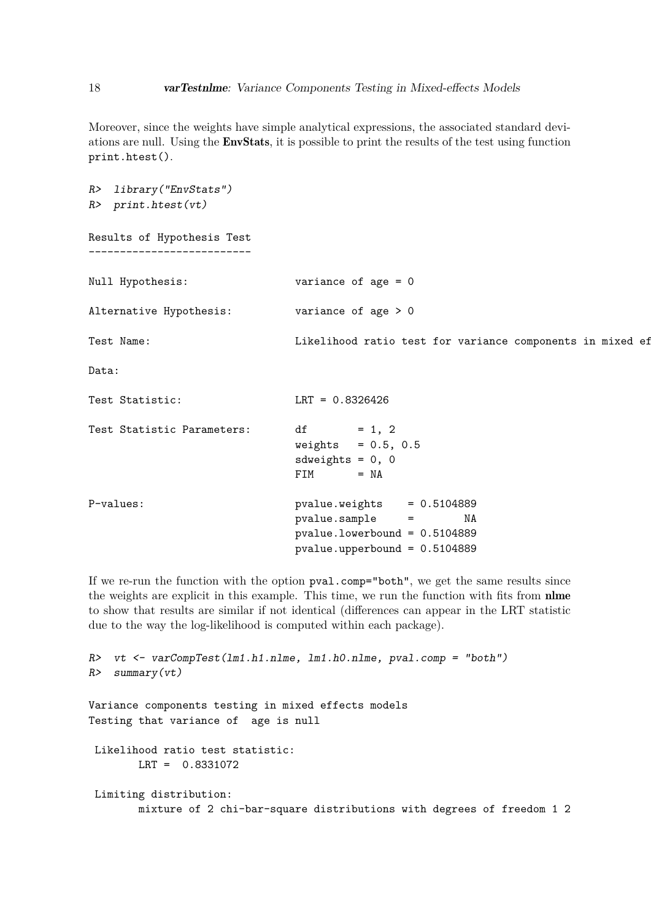Moreover, since the weights have simple analytical expressions, the associated standard deviations are null. Using the EnvStats, it is possible to print the results of the test using function print.htest().

```
R> library("EnvStats")
R> print.htest(vt)
Results of Hypothesis Test
--------------------------
Null Hypothesis: variance of age = 0
Alternative Hypothesis: variance of age > 0
Test Name: The Likelihood ratio test for variance components in mixed ef
Data:
Test Statistic: LRT = 0.8326426
Test Statistic Parameters: df = 1, 2weights = 0.5, 0.5sdweights = 0, 0FIM = NAP-values: pvalue.weights = 0.5104889
                          pvalue.sample = NA
                          pvalue.lowerbound = 0.5104889
                          pvalue.upperbound = 0.5104889
```
If we re-run the function with the option pval.comp="both", we get the same results since the weights are explicit in this example. This time, we run the function with fits from nlme to show that results are similar if not identical (differences can appear in the LRT statistic due to the way the log-likelihood is computed within each package).

```
R> vt <- varCompTest(lm1.h1.nlme, lm1.h0.nlme, pval.comp = "both")
R> summary(vt)
Variance components testing in mixed effects models
Testing that variance of age is null
Likelihood ratio test statistic:
       LRT = 0.8331072
Limiting distribution:
       mixture of 2 chi-bar-square distributions with degrees of freedom 1 2
```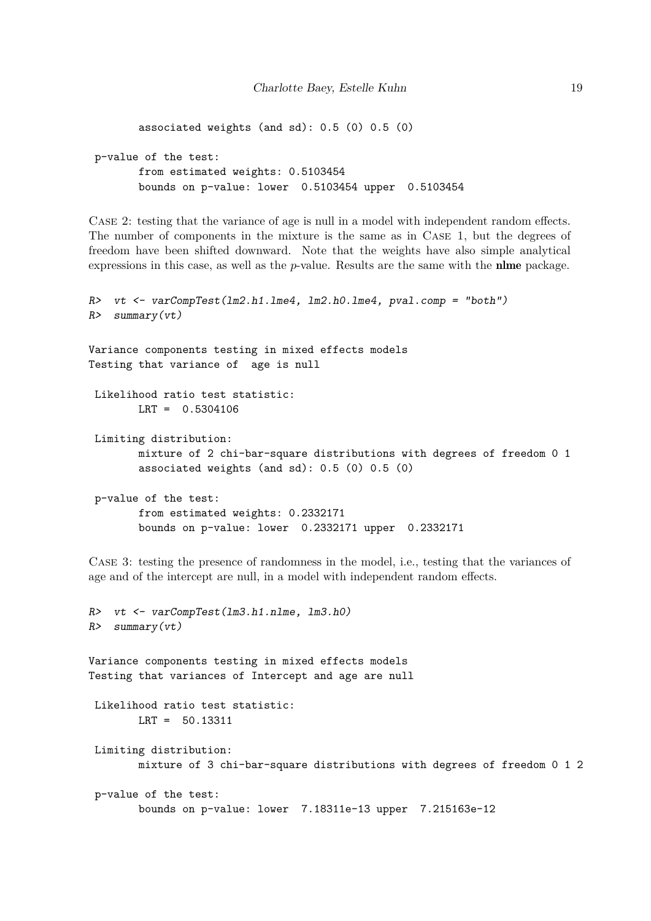```
associated weights (and sd): 0.5 (0) 0.5 (0)
p-value of the test:
       from estimated weights: 0.5103454
       bounds on p-value: lower 0.5103454 upper 0.5103454
```
Case 2: testing that the variance of age is null in a model with independent random effects. The number of components in the mixture is the same as in Case 1, but the degrees of freedom have been shifted downward. Note that the weights have also simple analytical expressions in this case, as well as the *p*-value. Results are the same with the nlme package.

```
R> vt <- varCompTest(lm2.h1.lme4, lm2.h0.lme4, pval.comp = "both")
R> summary(vt)
Variance components testing in mixed effects models
Testing that variance of age is null
 Likelihood ratio test statistic:
       LRT = 0.5304106
 Limiting distribution:
       mixture of 2 chi-bar-square distributions with degrees of freedom 0 1
        associated weights (and sd): 0.5 (0) 0.5 (0)
 p-value of the test:
       from estimated weights: 0.2332171
        bounds on p-value: lower 0.2332171 upper 0.2332171
```
Case 3: testing the presence of randomness in the model, i.e., testing that the variances of age and of the intercept are null, in a model with independent random effects.

```
R> vt <- varCompTest(lm3.h1.nlme, lm3.h0)
R> summary(vt)
Variance components testing in mixed effects models
Testing that variances of Intercept and age are null
 Likelihood ratio test statistic:
       LRT = 50.13311
 Limiting distribution:
       mixture of 3 chi-bar-square distributions with degrees of freedom 0 1 2
 p-value of the test:
        bounds on p-value: lower 7.18311e-13 upper 7.215163e-12
```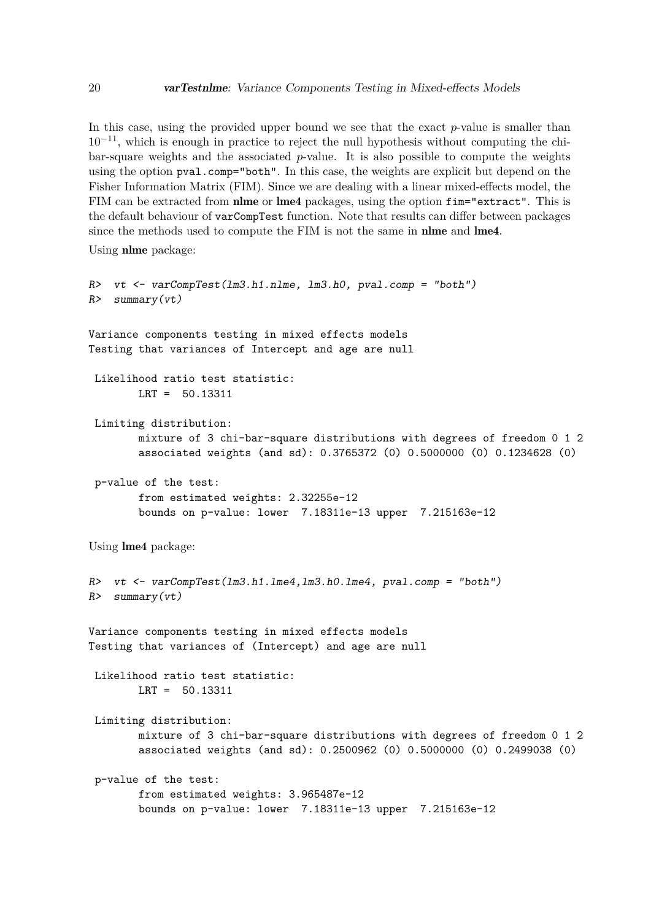In this case, using the provided upper bound we see that the exact *p*-value is smaller than  $10^{-11}$ , which is enough in practice to reject the null hypothesis without computing the chibar-square weights and the associated *p*-value. It is also possible to compute the weights using the option pval.comp="both". In this case, the weights are explicit but depend on the Fisher Information Matrix (FIM). Since we are dealing with a linear mixed-effects model, the FIM can be extracted from nlme or lme4 packages, using the option fim="extract". This is the default behaviour of varCompTest function. Note that results can differ between packages since the methods used to compute the FIM is not the same in nlme and lme4.

Using nlme package:

```
R> vt <- varCompTest(lm3.h1.nlme, lm3.h0, pval.comp = "both")
R> summary(vt)
Variance components testing in mixed effects models
Testing that variances of Intercept and age are null
 Likelihood ratio test statistic:
        LRT = 50.13311
 Limiting distribution:
        mixture of 3 chi-bar-square distributions with degrees of freedom 0 1 2
        associated weights (and sd): 0.3765372 (0) 0.5000000 (0) 0.1234628 (0)
 p-value of the test:
        from estimated weights: 2.32255e-12
        bounds on p-value: lower 7.18311e-13 upper 7.215163e-12
Using lme4 package:
R> vt <- varCompTest(lm3.h1.lme4,lm3.h0.lme4, pval.comp = "both")
R> summary(vt)
Variance components testing in mixed effects models
Testing that variances of (Intercept) and age are null
 Likelihood ratio test statistic:
       LRT = 50.13311
 Limiting distribution:
        mixture of 3 chi-bar-square distributions with degrees of freedom 0 1 2
        associated weights (and sd): 0.2500962 (0) 0.5000000 (0) 0.2499038 (0)
 p-value of the test:
        from estimated weights: 3.965487e-12
        bounds on p-value: lower 7.18311e-13 upper 7.215163e-12
```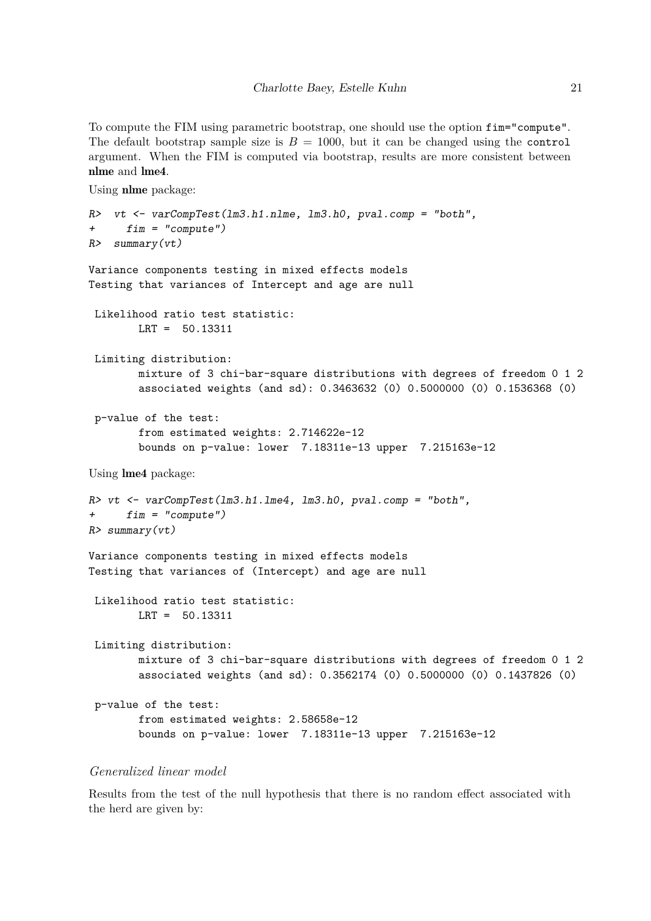To compute the FIM using parametric bootstrap, one should use the option fim="compute". The default bootstrap sample size is  $B = 1000$ , but it can be changed using the control argument. When the FIM is computed via bootstrap, results are more consistent between nlme and lme4.

Using nlme package:

```
R> vt <- varCompTest(lm3.h1.nlme, lm3.h0, pval.comp = "both",
+ fim = "compute")
R> summary(vt)
Variance components testing in mixed effects models
Testing that variances of Intercept and age are null
 Likelihood ratio test statistic:
       LRT = 50.13311
 Limiting distribution:
       mixture of 3 chi-bar-square distributions with degrees of freedom 0 1 2
        associated weights (and sd): 0.3463632 (0) 0.5000000 (0) 0.1536368 (0)
 p-value of the test:
        from estimated weights: 2.714622e-12
        bounds on p-value: lower 7.18311e-13 upper 7.215163e-12
Using lme4 package:
R vt \leq varCompTest(lm3.h1.lme4, lm3.h0, pval.comp = "both",
+ fim = "compute")
R> summary(vt)
Variance components testing in mixed effects models
Testing that variances of (Intercept) and age are null
 Likelihood ratio test statistic:
       LRT = 50.13311
 Limiting distribution:
       mixture of 3 chi-bar-square distributions with degrees of freedom 0 1 2
        associated weights (and sd): 0.3562174 (0) 0.5000000 (0) 0.1437826 (0)
 p-value of the test:
        from estimated weights: 2.58658e-12
        bounds on p-value: lower 7.18311e-13 upper 7.215163e-12
```
# *Generalized linear model*

Results from the test of the null hypothesis that there is no random effect associated with the herd are given by: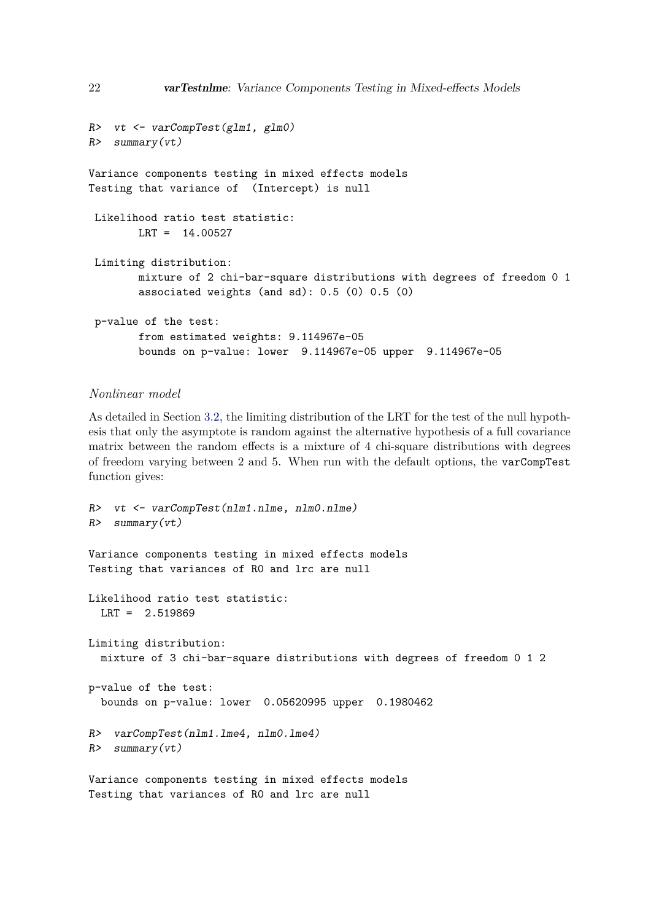```
R> vt <- varCompTest(glm1, glm0)
R> summary(vt)
Variance components testing in mixed effects models
Testing that variance of (Intercept) is null
 Likelihood ratio test statistic:
       LRT = 14.00527
 Limiting distribution:
       mixture of 2 chi-bar-square distributions with degrees of freedom 0 1
        associated weights (and sd): 0.5 (0) 0.5 (0)
 p-value of the test:
        from estimated weights: 9.114967e-05
        bounds on p-value: lower 9.114967e-05 upper 9.114967e-05
```
# *Nonlinear model*

As detailed in Section [3.2,](#page-7-2) the limiting distribution of the LRT for the test of the null hypothesis that only the asymptote is random against the alternative hypothesis of a full covariance matrix between the random effects is a mixture of 4 chi-square distributions with degrees of freedom varying between 2 and 5. When run with the default options, the varCompTest function gives:

```
R> vt <- varCompTest(nlm1.nlme, nlm0.nlme)
R> summary(vt)
Variance components testing in mixed effects models
Testing that variances of R0 and lrc are null
Likelihood ratio test statistic:
 LRT = 2.519869
Limiting distribution:
  mixture of 3 chi-bar-square distributions with degrees of freedom 0 1 2
p-value of the test:
 bounds on p-value: lower 0.05620995 upper 0.1980462
R> varCompTest(nlm1.lme4, nlm0.lme4)
R> summary(vt)
Variance components testing in mixed effects models
```
Testing that variances of R0 and lrc are null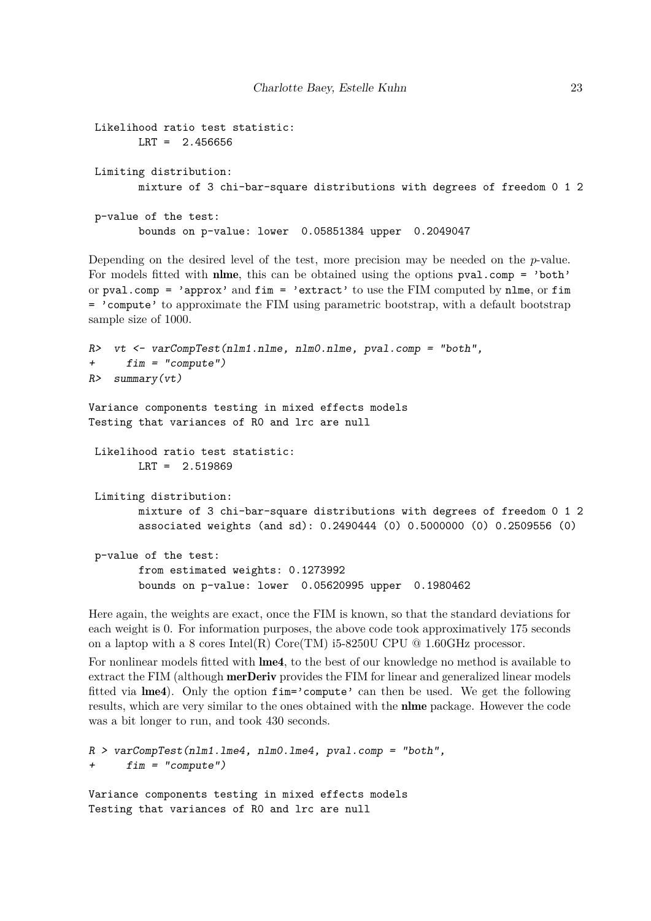```
Likelihood ratio test statistic:
      LRT = 2.456656
Limiting distribution:
      mixture of 3 chi-bar-square distributions with degrees of freedom 0 1 2
p-value of the test:
      bounds on p-value: lower 0.05851384 upper 0.2049047
```
Depending on the desired level of the test, more precision may be needed on the *p*-value. For models fitted with nlme, this can be obtained using the options pval.comp = 'both' or pval.comp = 'approx' and  $fim =$  'extract' to use the FIM computed by nlme, or  $fim$ = 'compute' to approximate the FIM using parametric bootstrap, with a default bootstrap sample size of 1000.

```
R> vt <- varCompTest(nlm1.nlme, nlm0.nlme, pval.comp = "both",
+ fim = "compute")
R> summary(vt)
Variance components testing in mixed effects models
Testing that variances of R0 and lrc are null
 Likelihood ratio test statistic:
       LRT = 2.519869
 Limiting distribution:
       mixture of 3 chi-bar-square distributions with degrees of freedom 0 1 2
        associated weights (and sd): 0.2490444 (0) 0.5000000 (0) 0.2509556 (0)
 p-value of the test:
        from estimated weights: 0.1273992
        bounds on p-value: lower 0.05620995 upper 0.1980462
```
Here again, the weights are exact, once the FIM is known, so that the standard deviations for each weight is 0. For information purposes, the above code took approximatively 175 seconds on a laptop with a 8 cores Intel(R) Core(TM) i5-8250U CPU  $@$  1.60GHz processor.

For nonlinear models fitted with lme4, to the best of our knowledge no method is available to extract the FIM (although merDeriv provides the FIM for linear and generalized linear models fitted via lme4). Only the option fim='compute' can then be used. We get the following results, which are very similar to the ones obtained with the nlme package. However the code was a bit longer to run, and took 430 seconds.

```
R > varCompTest(nlm1.lme4, nlm0.lme4, pval.comp = "both",
+ fim = "compute")
```
Variance components testing in mixed effects models Testing that variances of R0 and lrc are null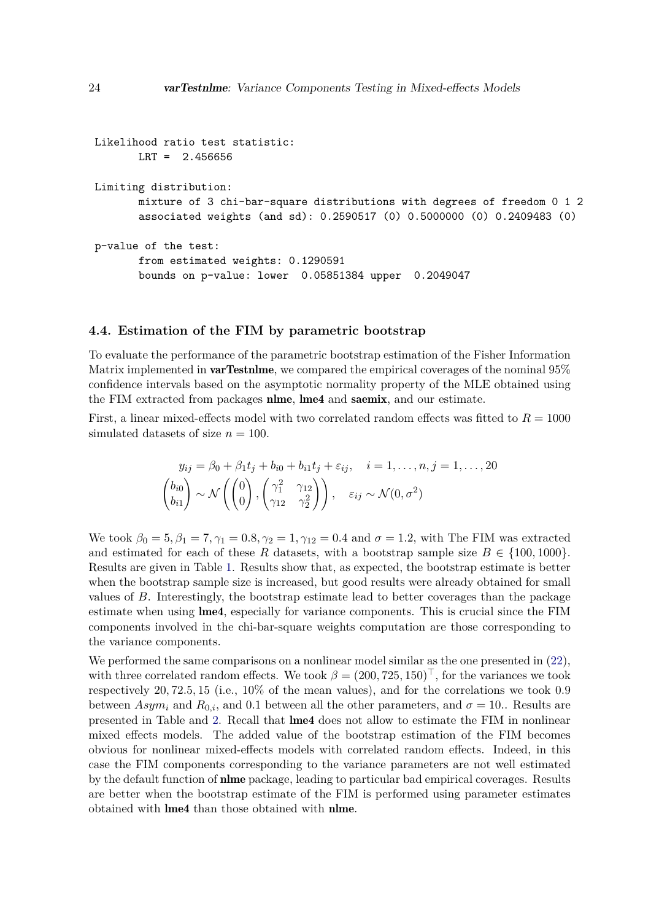```
Likelihood ratio test statistic:
      LRT = 2.456656
Limiting distribution:
      mixture of 3 chi-bar-square distributions with degrees of freedom 0 1 2
       associated weights (and sd): 0.2590517 (0) 0.5000000 (0) 0.2409483 (0)
p-value of the test:
       from estimated weights: 0.1290591
       bounds on p-value: lower 0.05851384 upper 0.2049047
```
# **4.4. Estimation of the FIM by parametric bootstrap**

To evaluate the performance of the parametric bootstrap estimation of the Fisher Information Matrix implemented in **varTestnlme**, we compared the empirical coverages of the nominal  $95\%$ confidence intervals based on the asymptotic normality property of the MLE obtained using the FIM extracted from packages nlme, lme4 and saemix, and our estimate.

First, a linear mixed-effects model with two correlated random effects was fitted to  $R = 1000$ simulated datasets of size  $n = 100$ .

$$
y_{ij} = \beta_0 + \beta_1 t_j + b_{i0} + b_{i1} t_j + \varepsilon_{ij}, \quad i = 1, ..., n, j = 1, ..., 20
$$

$$
\begin{pmatrix} b_{i0} \\ b_{i1} \end{pmatrix} \sim \mathcal{N} \left( \begin{pmatrix} 0 \\ 0 \end{pmatrix}, \begin{pmatrix} \gamma_1^2 & \gamma_{12} \\ \gamma_{12} & \gamma_2^2 \end{pmatrix} \right), \quad \varepsilon_{ij} \sim \mathcal{N}(0, \sigma^2)
$$

We took  $β_0 = 5, β_1 = 7, γ_1 = 0.8, γ_2 = 1, γ_{12} = 0.4$  and  $σ = 1.2$ , with The FIM was extracted and estimated for each of these R datasets, with a bootstrap sample size  $B \in \{100, 1000\}$ . Results are given in Table [1.](#page-24-0) Results show that, as expected, the bootstrap estimate is better when the bootstrap sample size is increased, but good results were already obtained for small values of *B*. Interestingly, the bootstrap estimate lead to better coverages than the package estimate when using lme4, especially for variance components. This is crucial since the FIM components involved in the chi-bar-square weights computation are those corresponding to the variance components.

We performed the same comparisons on a nonlinear model similar as the one presented in  $(22)$ , with three correlated random effects. We took  $\beta = (200, 725, 150)^{\top}$ , for the variances we took respectively 20*,* 72*.*5*,* 15 (i.e., 10% of the mean values), and for the correlations we took 0*.*9 between  $Asym<sub>i</sub>$  and  $R<sub>0,i</sub>$ , and 0.1 between all the other parameters, and  $\sigma = 10$ . Results are presented in Table and [2.](#page-24-1) Recall that lme4 does not allow to estimate the FIM in nonlinear mixed effects models. The added value of the bootstrap estimation of the FIM becomes obvious for nonlinear mixed-effects models with correlated random effects. Indeed, in this case the FIM components corresponding to the variance parameters are not well estimated by the default function of nlme package, leading to particular bad empirical coverages. Results are better when the bootstrap estimate of the FIM is performed using parameter estimates obtained with lme4 than those obtained with nlme.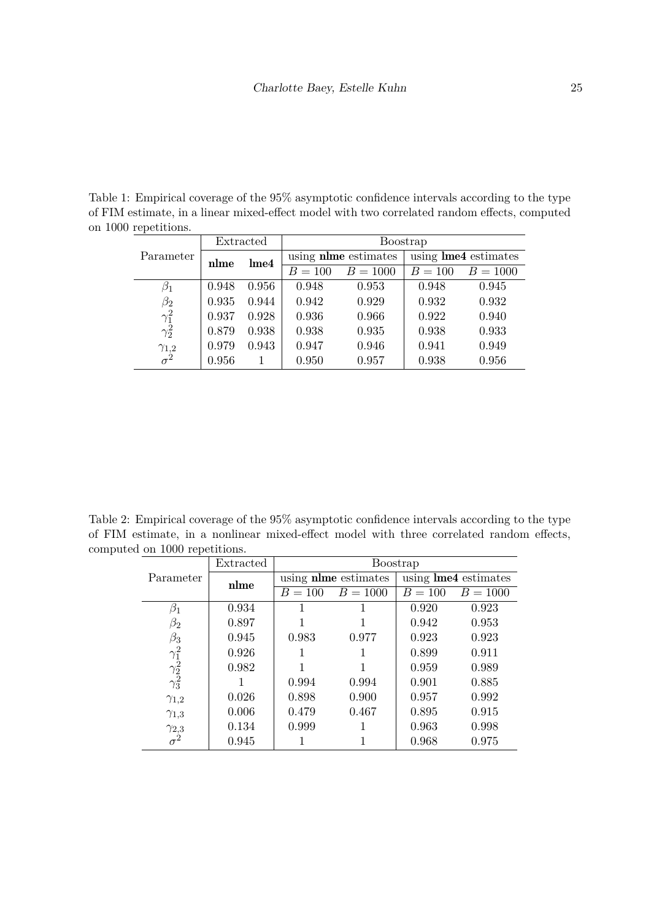<span id="page-24-0"></span>Table 1: Empirical coverage of the 95% asymptotic confidence intervals according to the type of FIM estimate, in a linear mixed-effect model with two correlated random effects, computed on 1000 repetitions.  $\overline{a}$ 

| Parameter                                                          | Extracted |                  | <b>Boostrap</b>             |            |                             |            |  |
|--------------------------------------------------------------------|-----------|------------------|-----------------------------|------------|-----------------------------|------------|--|
|                                                                    | nlme      | Ime <sub>4</sub> | using <b>nime</b> estimates |            | using <b>lme4</b> estimates |            |  |
|                                                                    |           |                  | $B = 100$                   | $B = 1000$ | $B = 100$                   | $B = 1000$ |  |
| $\beta_1$                                                          | 0.948     | 0.956            | 0.948                       | 0.953      | 0.948                       | 0.945      |  |
|                                                                    | 0.935     | 0.944            | 0.942                       | 0.929      | 0.932                       | 0.932      |  |
|                                                                    | 0.937     | 0.928            | 0.936                       | 0.966      | 0.922                       | 0.940      |  |
| $\begin{array}{c} \beta_2 \\ \gamma_1^2 \\ \gamma_2^2 \end{array}$ | 0.879     | 0.938            | 0.938                       | 0.935      | 0.938                       | 0.933      |  |
|                                                                    | 0.979     | 0.943            | 0.947                       | 0.946      | 0.941                       | 0.949      |  |
| $\frac{\gamma_{1,2}}{\sigma^2}$                                    | 0.956     |                  | 0.950                       | 0.957      | 0.938                       | 0.956      |  |

<span id="page-24-1"></span>Table 2: Empirical coverage of the 95% asymptotic confidence intervals according to the type of FIM estimate, in a nonlinear mixed-effect model with three correlated random effects, computed on 1000 repetitions.

| Parameter                       | Extracted | Boostrap  |                             |                             |            |  |
|---------------------------------|-----------|-----------|-----------------------------|-----------------------------|------------|--|
|                                 | nlme      |           | using <b>nime</b> estimates | using <b>lme4</b> estimates |            |  |
|                                 |           | $B = 100$ | $B = 1000$                  | $B = 100$                   | $B = 1000$ |  |
| $\beta_1$                       | 0.934     |           |                             | 0.920                       | 0.923      |  |
| $\beta_2$                       | 0.897     |           |                             | 0.942                       | 0.953      |  |
| $\beta_3$                       | 0.945     | 0.983     | 0.977                       | 0.923                       | 0.923      |  |
|                                 | 0.926     |           |                             | 0.899                       | 0.911      |  |
| $\frac{\gamma_1^2}{\gamma_2^2}$ | 0.982     |           |                             | 0.959                       | 0.989      |  |
|                                 |           | 0.994     | 0.994                       | 0.901                       | 0.885      |  |
| $\gamma_{1,2}$                  | 0.026     | 0.898     | 0.900                       | 0.957                       | 0.992      |  |
| $\gamma_{1,3}$                  | 0.006     | 0.479     | 0.467                       | 0.895                       | 0.915      |  |
| $\gamma_{2,3}$                  | 0.134     | 0.999     |                             | 0.963                       | 0.998      |  |
| $\sigma^2$                      | 0.945     |           |                             | 0.968                       | 0.975      |  |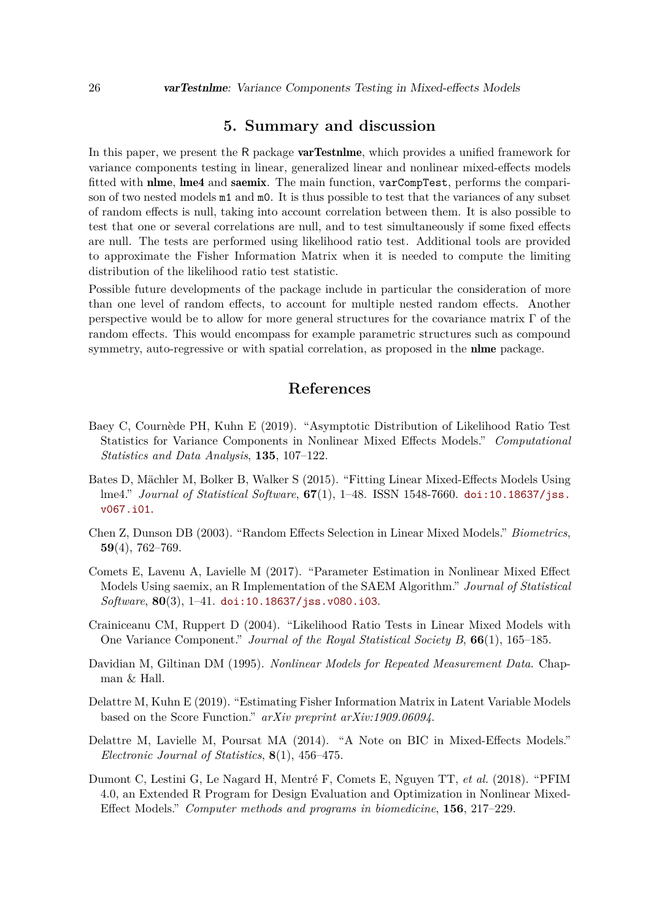# **5. Summary and discussion**

<span id="page-25-6"></span>In this paper, we present the R package **varTestnime**, which provides a unified framework for variance components testing in linear, generalized linear and nonlinear mixed-effects models fitted with nlme, lme4 and saemix. The main function, varCompTest, performs the comparison of two nested models  $m1$  and  $m0$ . It is thus possible to test that the variances of any subset of random effects is null, taking into account correlation between them. It is also possible to test that one or several correlations are null, and to test simultaneously if some fixed effects are null. The tests are performed using likelihood ratio test. Additional tools are provided to approximate the Fisher Information Matrix when it is needed to compute the limiting distribution of the likelihood ratio test statistic.

Possible future developments of the package include in particular the consideration of more than one level of random effects, to account for multiple nested random effects. Another perspective would be to allow for more general structures for the covariance matrix  $\Gamma$  of the random effects. This would encompass for example parametric structures such as compound symmetry, auto-regressive or with spatial correlation, as proposed in the **nime** package.

# **References**

- <span id="page-25-4"></span>Baey C, Cournède PH, Kuhn E (2019). "Asymptotic Distribution of Likelihood Ratio Test Statistics for Variance Components in Nonlinear Mixed Effects Models." *Computational Statistics and Data Analysis*, **135**, 107–122.
- <span id="page-25-0"></span>Bates D, Mächler M, Bolker B, Walker S (2015). "Fitting Linear Mixed-Effects Models Using lme4." *Journal of Statistical Software*, **67**(1), 1–48. ISSN 1548-7660. [doi:10.18637/jss.](http://dx.doi.org/10.18637/jss.v067.i01) [v067.i01](http://dx.doi.org/10.18637/jss.v067.i01).
- <span id="page-25-2"></span>Chen Z, Dunson DB (2003). "Random Effects Selection in Linear Mixed Models." *Biometrics*, **59**(4), 762–769.
- <span id="page-25-1"></span>Comets E, Lavenu A, Lavielle M (2017). "Parameter Estimation in Nonlinear Mixed Effect Models Using saemix, an R Implementation of the SAEM Algorithm." *Journal of Statistical Software*, **80**(3), 1–41. [doi:10.18637/jss.v080.i03](http://dx.doi.org/10.18637/jss.v080.i03).
- <span id="page-25-5"></span>Crainiceanu CM, Ruppert D (2004). "Likelihood Ratio Tests in Linear Mixed Models with One Variance Component." *Journal of the Royal Statistical Society B*, **66**(1), 165–185.
- <span id="page-25-7"></span>Davidian M, Giltinan DM (1995). *Nonlinear Models for Repeated Measurement Data*. Chapman & Hall.
- <span id="page-25-9"></span>Delattre M, Kuhn E (2019). "Estimating Fisher Information Matrix in Latent Variable Models based on the Score Function." *arXiv preprint arXiv:1909.06094*.
- <span id="page-25-3"></span>Delattre M, Lavielle M, Poursat MA (2014). "A Note on BIC in Mixed-Effects Models." *Electronic Journal of Statistics*, **8**(1), 456–475.
- <span id="page-25-8"></span>Dumont C, Lestini G, Le Nagard H, Mentré F, Comets E, Nguyen TT, *et al.* (2018). "PFIM 4.0, an Extended R Program for Design Evaluation and Optimization in Nonlinear Mixed-Effect Models." *Computer methods and programs in biomedicine*, **156**, 217–229.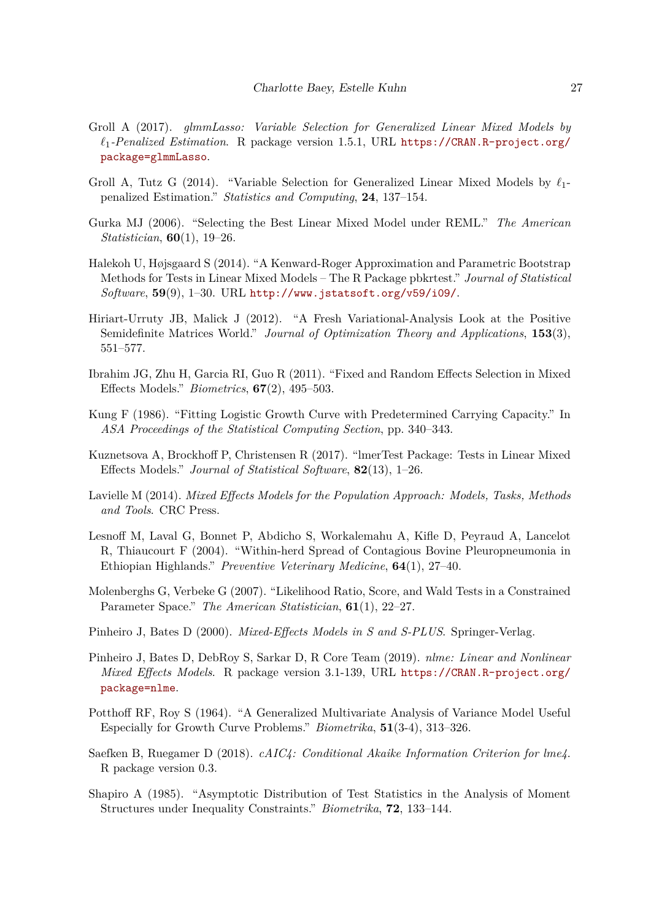- <span id="page-26-5"></span>Groll A (2017). *glmmLasso: Variable Selection for Generalized Linear Mixed Models by `*1*-Penalized Estimation*. R package version 1.5.1, URL [https://CRAN.R-project.org/](https://CRAN.R-project.org/package=glmmLasso) [package=glmmLasso](https://CRAN.R-project.org/package=glmmLasso).
- <span id="page-26-2"></span>Groll A, Tutz G (2014). "Variable Selection for Generalized Linear Mixed Models by  $\ell_1$ penalized Estimation." *Statistics and Computing*, **24**, 137–154.
- <span id="page-26-3"></span>Gurka MJ (2006). "Selecting the Best Linear Mixed Model under REML." *The American Statistician*, **60**(1), 19–26.
- <span id="page-26-8"></span>Halekoh U, Højsgaard S (2014). "A Kenward-Roger Approximation and Parametric Bootstrap Methods for Tests in Linear Mixed Models – The R Package pbkrtest." *Journal of Statistical Software*, **59**(9), 1–30. URL <http://www.jstatsoft.org/v59/i09/>.
- <span id="page-26-11"></span>Hiriart-Urruty JB, Malick J (2012). "A Fresh Variational-Analysis Look at the Positive Semidefinite Matrices World." *Journal of Optimization Theory and Applications*, **153**(3), 551–577.
- <span id="page-26-1"></span>Ibrahim JG, Zhu H, Garcia RI, Guo R (2011). "Fixed and Random Effects Selection in Mixed Effects Models." *Biometrics*, **67**(2), 495–503.
- <span id="page-26-15"></span>Kung F (1986). "Fitting Logistic Growth Curve with Predetermined Carrying Capacity." In *ASA Proceedings of the Statistical Computing Section*, pp. 340–343.
- <span id="page-26-7"></span>Kuznetsova A, Brockhoff P, Christensen R (2017). "lmerTest Package: Tests in Linear Mixed Effects Models." *Journal of Statistical Software*, **82**(13), 1–26.
- <span id="page-26-10"></span>Lavielle M (2014). *Mixed Effects Models for the Population Approach: Models, Tasks, Methods and Tools*. CRC Press.
- <span id="page-26-14"></span>Lesnoff M, Laval G, Bonnet P, Abdicho S, Workalemahu A, Kifle D, Peyraud A, Lancelot R, Thiaucourt F (2004). "Within-herd Spread of Contagious Bovine Pleuropneumonia in Ethiopian Highlands." *Preventive Veterinary Medicine*, **64**(1), 27–40.
- <span id="page-26-4"></span>Molenberghs G, Verbeke G (2007). "Likelihood Ratio, Score, and Wald Tests in a Constrained Parameter Space." *The American Statistician*, **61**(1), 22–27.
- <span id="page-26-9"></span>Pinheiro J, Bates D (2000). *Mixed-Effects Models in S and S-PLUS*. Springer-Verlag.
- <span id="page-26-0"></span>Pinheiro J, Bates D, DebRoy S, Sarkar D, R Core Team (2019). *nlme: Linear and Nonlinear Mixed Effects Models*. R package version 3.1-139, URL [https://CRAN.R-project.org/](https://CRAN.R-project.org/package=nlme) [package=nlme](https://CRAN.R-project.org/package=nlme).
- <span id="page-26-13"></span>Potthoff RF, Roy S (1964). "A Generalized Multivariate Analysis of Variance Model Useful Especially for Growth Curve Problems." *Biometrika*, **51**(3-4), 313–326.
- <span id="page-26-6"></span>Saefken B, Ruegamer D (2018). *cAIC4: Conditional Akaike Information Criterion for lme4*. R package version 0.3.
- <span id="page-26-12"></span>Shapiro A (1985). "Asymptotic Distribution of Test Statistics in the Analysis of Moment Structures under Inequality Constraints." *Biometrika*, **72**, 133–144.